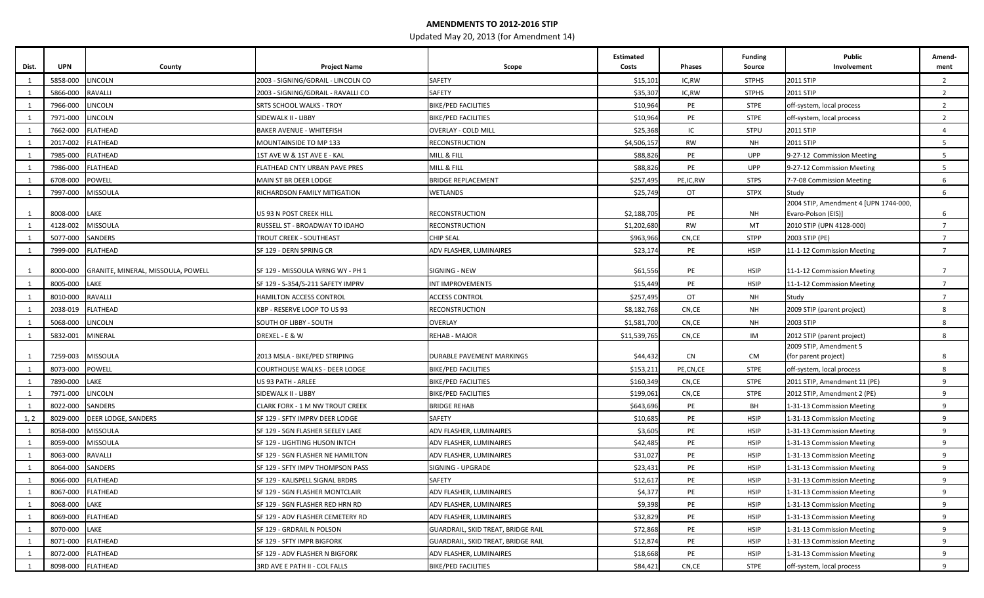## **AMENDMENTS TO 2012-2016 STIP**

Updated May 20, 2013 (for Amendment 14)

| Dist. | <b>UPN</b> | County                             | <b>Project Name</b>                  | Scope                              | <b>Estimated</b><br>Costs | <b>Phases</b> | <b>Funding</b><br>Source | <b>Public</b><br>Involvement                             | Amend-<br>ment  |
|-------|------------|------------------------------------|--------------------------------------|------------------------------------|---------------------------|---------------|--------------------------|----------------------------------------------------------|-----------------|
|       | 5858-000   | LINCOLN                            | 2003 - SIGNING/GDRAIL - LINCOLN CO   | SAFETY                             | \$15,101                  | IC,RW         | <b>STPHS</b>             | 2011 STIP                                                | $\overline{2}$  |
|       | 5866-000   | RAVALLI                            | 2003 - SIGNING/GDRAIL - RAVALLI CO   | SAFETY                             | \$35,307                  | IC,RW         | <b>STPHS</b>             | 2011 STIP                                                | $\overline{2}$  |
|       | 7966-000   | LINCOLN                            | SRTS SCHOOL WALKS - TROY             | <b>BIKE/PED FACILITIES</b>         | \$10,964                  | PE            | <b>STPE</b>              | off-system, local process                                | $\overline{2}$  |
|       | 7971-000   | LINCOLN                            | SIDEWALK II - LIBBY                  | <b>BIKE/PED FACILITIES</b>         | \$10,964                  | PE            | <b>STPE</b>              | off-system, local process                                | $2^{\circ}$     |
|       | 7662-000   | FLATHEAD                           | BAKER AVENUE - WHITEFISH             | <b>OVERLAY - COLD MILL</b>         | \$25,368                  | IC            | <b>STPU</b>              | 2011 STIP                                                | $\overline{4}$  |
|       | 2017-002   | <b>FLATHEAD</b>                    | MOUNTAINSIDE TO MP 133               | RECONSTRUCTION                     | \$4,506,157               | <b>RW</b>     | NH                       | 2011 STIP                                                | 5 <sub>5</sub>  |
|       | 7985-000   | FLATHEAD                           | 1ST AVE W & 1ST AVE E - KAL          | MILL & FILL                        | \$88,826                  | PE            | <b>UPP</b>               | 9-27-12 Commission Meeting                               | 5 <sub>1</sub>  |
|       | 7986-000   | FLATHEAD                           | FLATHEAD CNTY URBAN PAVE PRES        | MILL & FILL                        | \$88,826                  | PE            | <b>UPP</b>               | 9-27-12 Commission Meeting                               | 5 <sub>1</sub>  |
|       | 6708-000   | POWELL                             | MAIN ST BR DEER LODGE                | <b>BRIDGE REPLACEMENT</b>          | \$257,495                 | PE,IC,RW      | <b>STPS</b>              | 7-7-08 Commission Meeting                                | 6               |
|       | 7997-000   | MISSOULA                           | RICHARDSON FAMILY MITIGATION         | WETLANDS                           | \$25,749                  | OT            | <b>STPX</b>              | Study                                                    | 6               |
|       |            |                                    |                                      |                                    |                           |               |                          | 2004 STIP, Amendment 4 [UPN 1744-000,                    |                 |
|       | 8008-000   | LAKE                               | US 93 N POST CREEK HILL              | RECONSTRUCTION                     | \$2,188,705               | PE            | NH                       | Evaro-Polson (EIS)]                                      | 6               |
|       | 4128-002   | <b>MISSOULA</b>                    | RUSSELL ST - BROADWAY TO IDAHO       | RECONSTRUCTION                     | \$1,202,680               | <b>RW</b>     | MT                       | 2010 STIP (UPN 4128-000)                                 | $7^{\circ}$     |
|       | 5077-000   | SANDERS                            | TROUT CREEK - SOUTHEAST              | <b>CHIP SEAL</b>                   | \$963,966                 | CN,CE         | <b>STPP</b>              | 2003 STIP (PE)                                           | $7\overline{ }$ |
|       | 7999-000   | FLATHEAD                           | SF 129 - DERN SPRING CR              | ADV FLASHER, LUMINAIRES            | \$23,174                  | PE            | <b>HSIP</b>              | 11-1-12 Commission Meeting                               | $\overline{7}$  |
|       |            | GRANITE, MINERAL, MISSOULA, POWELL |                                      |                                    | \$61,556                  | PE            | <b>HSIP</b>              |                                                          | $\overline{7}$  |
|       | 8000-000   |                                    | SF 129 - MISSOULA WRNG WY - PH 1     | SIGNING - NEW                      |                           |               |                          | 11-1-12 Commission Meeting<br>11-1-12 Commission Meeting |                 |
|       | 8005-000   | LAKE                               | SF 129 - S-354/S-211 SAFETY IMPRV    | INT IMPROVEMENTS                   | \$15,449                  | PE            | <b>HSIP</b>              |                                                          | $\overline{7}$  |
|       | 8010-000   | RAVALLI                            | <b>HAMILTON ACCESS CONTROL</b>       | <b>ACCESS CONTROL</b>              | \$257,495                 | OT            | NH                       | Study                                                    | $7\overline{ }$ |
|       | 2038-019   | <b>FLATHEAD</b>                    | KBP - RESERVE LOOP TO US 93          | <b>RECONSTRUCTION</b>              | \$8,182,768               | CN,CE         | <b>NH</b>                | 2009 STIP (parent project)                               | 8               |
|       | 5068-000   | LINCOLN                            | SOUTH OF LIBBY - SOUTH               | <b>OVERLAY</b>                     | \$1,581,700               | CN,CE         | NH                       | 2003 STIP                                                | 8               |
| 1     | 5832-001   | MINERAL                            | DREXEL - E & W                       | REHAB - MAJOR                      | \$11,539,765              | CN,CE         | IM                       | 2012 STIP (parent project)                               | 8               |
|       | 7259-003   | <b>MISSOULA</b>                    | 2013 MSLA - BIKE/PED STRIPING        | DURABLE PAVEMENT MARKINGS          | \$44,432                  | CN            | CM                       | 2009 STIP, Amendment 5<br>(for parent project)           | 8               |
|       | 8073-000   | POWELL                             | <b>COURTHOUSE WALKS - DEER LODGE</b> | <b>BIKE/PED FACILITIES</b>         | \$153,213                 | PE,CN,CE      | <b>STPE</b>              | off-system, local process                                | 8               |
|       | 7890-000   | LAKE                               | US 93 PATH - ARLEE                   | <b>BIKE/PED FACILITIES</b>         | \$160,349                 | CN,CE         | <b>STPE</b>              | 2011 STIP, Amendment 11 (PE)                             | 9               |
|       | 7971-000   | LINCOLN                            | SIDEWALK II - LIBBY                  | <b>BIKE/PED FACILITIES</b>         | \$199,061                 | CN,CE         | <b>STPE</b>              | 2012 STIP, Amendment 2 (PE)                              | 9               |
|       | 8022-000   | SANDERS                            | CLARK FORK - 1 M NW TROUT CREEK      | <b>BRIDGE REHAB</b>                | \$643,696                 | PE            | BH                       | 1-31-13 Commission Meeting                               | 9               |
| 1, 2  | 8029-000   | DEER LODGE, SANDERS                | SF 129 - SFTY IMPRV DEER LODGE       | SAFETY                             | \$10,685                  | PE            | <b>HSIP</b>              | 1-31-13 Commission Meeting                               | 9               |
|       | 8058-000   | MISSOULA                           | SF 129 - SGN FLASHER SEELEY LAKE     | ADV FLASHER, LUMINAIRES            | \$3,605                   | PE            | <b>HSIP</b>              | 1-31-13 Commission Meeting                               | 9               |
|       | 8059-000   | MISSOULA                           | SF 129 - LIGHTING HUSON INTCH        | ADV FLASHER, LUMINAIRES            | \$42,485                  | PE            | <b>HSIP</b>              | 1-31-13 Commission Meeting                               | 9               |
|       | 8063-000   | RAVALLI                            | SF 129 - SGN FLASHER NE HAMILTON     | ADV FLASHER, LUMINAIRES            | \$31,027                  | PE            | <b>HSIP</b>              | 1-31-13 Commission Meeting                               | 9               |
|       | 8064-000   | SANDERS                            | SF 129 - SFTY IMPV THOMPSON PASS     | SIGNING - UPGRADE                  | \$23,43                   | PE            | <b>HSIP</b>              | 1-31-13 Commission Meeting                               | 9               |
|       | 8066-000   | <b>FLATHEAD</b>                    | SF 129 - KALISPELL SIGNAL BRDRS      | SAFETY                             | \$12,617                  | PE            | <b>HSIP</b>              | 1-31-13 Commission Meeting                               | 9               |
|       |            | 8067-000 FLATHEAD                  | SF 129 - SGN FLASHER MONTCLAIR       | ADV FLASHER, LUMINAIRES            | \$4,377                   | PE            | <b>HSIP</b>              | 1-31-13 Commission Meeting                               | 9               |
|       | 8068-000   | LAKE                               | SF 129 - SGN FLASHER RED HRN RD      | ADV FLASHER, LUMINAIRES            | \$9,398                   | PE            | <b>HSIP</b>              | 1-31-13 Commission Meeting                               | 9               |
| 1     | 8069-000   | <b>FLATHEAD</b>                    | SF 129 - ADV FLASHER CEMETERY RD     | ADV FLASHER, LUMINAIRES            | \$32,829                  | PE            | <b>HSIP</b>              | 1-31-13 Commission Meeting                               | 9               |
| 1     | 8070-000   | LAKE                               | SF 129 - GRDRAIL N POLSON            | GUARDRAIL, SKID TREAT, BRIDGE RAIL | \$72,868                  | PE            | <b>HSIP</b>              | 1-31-13 Commission Meeting                               | 9               |
| 1     | 8071-000   | FLATHEAD                           | SF 129 - SFTY IMPR BIGFORK           | GUARDRAIL, SKID TREAT, BRIDGE RAIL | \$12,874                  | PE            | <b>HSIP</b>              | 1-31-13 Commission Meeting                               | 9               |
|       | 8072-000   | FLATHEAD                           | SF 129 - ADV FLASHER N BIGFORK       | ADV FLASHER, LUMINAIRES            | \$18,668                  | PE            | <b>HSIP</b>              | 1-31-13 Commission Meeting                               | 9               |
|       | 8098-000   | <b>FLATHEAD</b>                    | 3RD AVE E PATH II - COL FALLS        | <b>BIKE/PED FACILITIES</b>         | \$84,421                  | CN,CE         | STPE                     | off-system, local process                                | 9               |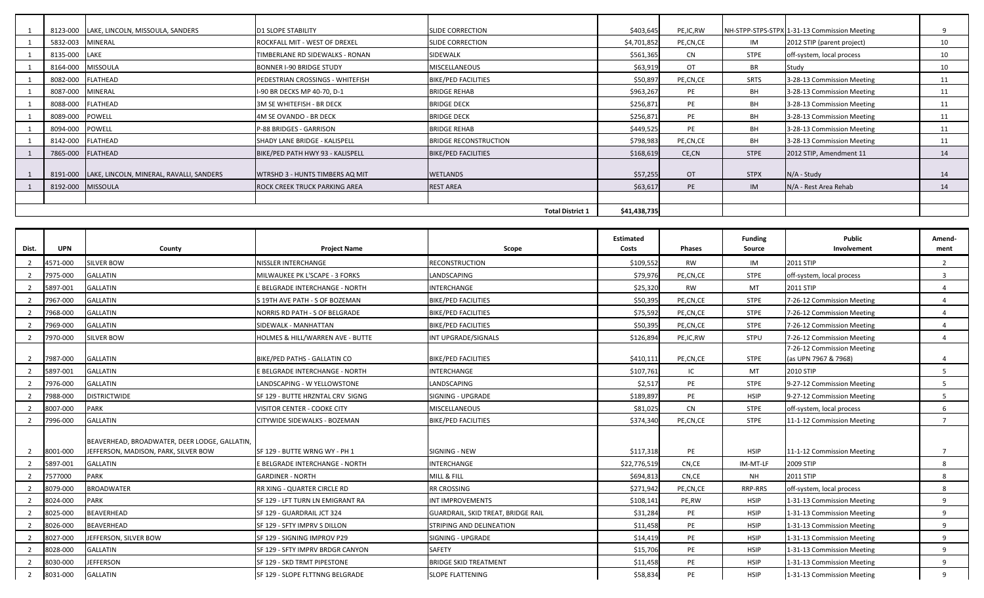|                  | 8123-000 LAKE, LINCOLN, MISSOULA, SANDERS | <b>D1 SLOPE STABILITY</b>            | <b>SLIDE CORRECTION</b>      | \$403,645    | PE,IC,RW  |             | NH-STPP-STPS-STPX 1-31-13 Commission Meeting |    |
|------------------|-------------------------------------------|--------------------------------------|------------------------------|--------------|-----------|-------------|----------------------------------------------|----|
| 5832-003 MINERAL |                                           | ROCKFALL MIT - WEST OF DREXEL        | <b>SLIDE CORRECTION</b>      | \$4,701,852  | PE,CN,CE  | IM          | 2012 STIP (parent project)                   | 10 |
| 8135-000 LAKE    |                                           | TIMBERLANE RD SIDEWALKS - RONAN      | SIDEWALK                     | \$561,365    | <b>CN</b> | STPE        | off-system, local process                    | 10 |
| 8164-000         | <b>MISSOULA</b>                           | BONNER I-90 BRIDGE STUDY             | <b>MISCELLANEOUS</b>         | \$63,919     | OT        | <b>BR</b>   | Study                                        | 10 |
|                  | 8082-000 FLATHEAD                         | PEDESTRIAN CROSSINGS - WHITEFISH     | <b>BIKE/PED FACILITIES</b>   | \$50,897     | PE,CN,CE  | SRTS        | 3-28-13 Commission Meeting                   | 11 |
| 8087-000 MINERAL |                                           | I-90 BR DECKS MP 40-70, D-1          | <b>BRIDGE REHAB</b>          | \$963,267    | PE        | BH          | 3-28-13 Commission Meeting                   | 11 |
|                  | 8088-000 FLATHEAD                         | 3M SE WHITEFISH - BR DECK            | <b>BRIDGE DECK</b>           | \$256,871    | PE        | BH          | 3-28-13 Commission Meeting                   | 11 |
| 8089-000 POWELL  |                                           | 4M SE OVANDO - BR DECK               | <b>BRIDGE DECK</b>           | \$256,871    | PE        | BH          | 3-28-13 Commission Meeting                   | 11 |
| 8094-000 POWELL  |                                           | P-88 BRIDGES - GARRISON              | <b>BRIDGE REHAB</b>          | \$449,525    | PE        | <b>BH</b>   | 3-28-13 Commission Meeting                   | 11 |
|                  | 8142-000 FLATHEAD                         | SHADY LANE BRIDGE - KALISPELL        | <b>BRIDGE RECONSTRUCTION</b> | \$798,983    | PE,CN,CE  | BH          | 3-28-13 Commission Meeting                   | 11 |
|                  | 7865-000 FLATHEAD                         | BIKE/PED PATH HWY 93 - KALISPELL     | <b>BIKE/PED FACILITIES</b>   | \$168,619    | CE,CN     | <b>STPE</b> | 2012 STIP, Amendment 11                      | 14 |
|                  |                                           |                                      |                              |              |           |             |                                              |    |
| 8191-000         | LAKE, LINCOLN, MINERAL, RAVALLI, SANDERS  | WTRSHD 3 - HUNTS TIMBERS AQ MIT      | <b>WETLANDS</b>              | \$57,255     | <b>OT</b> | <b>STPX</b> | N/A - Study                                  | 14 |
|                  | 8192-000 MISSOULA                         | <b>ROCK CREEK TRUCK PARKING AREA</b> | <b>REST AREA</b>             | \$63,617     | <b>PE</b> | IM          | N/A - Rest Area Rehab                        | 14 |
|                  |                                           |                                      |                              |              |           |             |                                              |    |
|                  |                                           |                                      | <b>Total District 1</b>      | \$41,438,735 |           |             |                                              |    |

| Dist. | <b>UPN</b> | County                                                                                | <b>Project Name</b>              | Scope                              | <b>Estimated</b><br>Costs | <b>Phases</b> | <b>Funding</b><br>Source | Public<br>Involvement                              | Amend-<br>ment |
|-------|------------|---------------------------------------------------------------------------------------|----------------------------------|------------------------------------|---------------------------|---------------|--------------------------|----------------------------------------------------|----------------|
|       | 4571-000   | <b>SILVER BOW</b>                                                                     | NISSLER INTERCHANGE              | <b>RECONSTRUCTION</b>              | \$109,552                 | <b>RW</b>     | IM                       | 2011 STIP                                          | $\overline{2}$ |
|       |            |                                                                                       |                                  |                                    |                           | PE,CN,CE      | <b>STPE</b>              |                                                    | 3              |
|       | 7975-000   | <b>GALLATIN</b>                                                                       | MILWAUKEE PK L'SCAPE - 3 FORKS   | LANDSCAPING                        | \$79,976                  |               |                          | off-system, local process                          |                |
|       | 5897-001   | <b>GALLATIN</b>                                                                       | E BELGRADE INTERCHANGE - NORTH   | INTERCHANGE                        | \$25,320                  | <b>RW</b>     | MT                       | 2011 STIP                                          | $\overline{a}$ |
|       | 7967-000   | <b>GALLATIN</b>                                                                       | S 19TH AVE PATH - S OF BOZEMAN   | <b>BIKE/PED FACILITIES</b>         | \$50,395                  | PE,CN,CE      | <b>STPE</b>              | 7-26-12 Commission Meeting                         | 4              |
|       | 7968-000   | <b>GALLATIN</b>                                                                       | NORRIS RD PATH - S OF BELGRADE   | <b>BIKE/PED FACILITIES</b>         | \$75,592                  | PE,CN,CE      | <b>STPE</b>              | 7-26-12 Commission Meeting                         | 4              |
|       | 7969-000   | <b>GALLATIN</b>                                                                       | SIDEWALK - MANHATTAN             | <b>BIKE/PED FACILITIES</b>         | \$50,395                  | PE,CN,CE      | <b>STPE</b>              | 7-26-12 Commission Meeting                         | 4              |
|       | 7970-000   | <b>SILVER BOW</b>                                                                     | HOLMES & HILL/WARREN AVE - BUTTE | INT UPGRADE/SIGNALS                | \$126,894                 | PE, IC, RW    | <b>STPU</b>              | 7-26-12 Commission Meeting                         | 4              |
|       | 7987-000   | <b>GALLATIN</b>                                                                       | BIKE/PED PATHS - GALLATIN CO     | <b>BIKE/PED FACILITIES</b>         | \$410,111                 | PE,CN,CE      | <b>STPE</b>              | 7-26-12 Commission Meeting<br>(as UPN 7967 & 7968) | 4              |
|       | 5897-001   | <b>GALLATIN</b>                                                                       | E BELGRADE INTERCHANGE - NORTH   | INTERCHANGE                        | \$107,761                 | IC            | MT                       | 2010 STIP                                          | 5              |
|       | 7976-000   | <b>GALLATIN</b>                                                                       | LANDSCAPING - W YELLOWSTONE      | LANDSCAPING                        | \$2,517                   | PE            | <b>STPE</b>              | 9-27-12 Commission Meeting                         | 5              |
|       | 7988-000   | <b>DISTRICTWIDE</b>                                                                   | SF 129 - BUTTE HRZNTAL CRV SIGNG | SIGNING - UPGRADE                  | \$189,897                 | PE            | <b>HSIP</b>              | 9-27-12 Commission Meeting                         | 5              |
|       | 8007-000   | <b>PARK</b>                                                                           | VISITOR CENTER - COOKE CITY      | MISCELLANEOUS                      | \$81,025                  | <b>CN</b>     | <b>STPE</b>              | off-system, local process                          | 6              |
|       | 7996-000   | <b>GALLATIN</b>                                                                       | CITYWIDE SIDEWALKS - BOZEMAN     | <b>BIKE/PED FACILITIES</b>         | \$374,340                 | PE,CN,CE      | <b>STPE</b>              | 11-1-12 Commission Meeting                         |                |
|       | 8001-000   | BEAVERHEAD, BROADWATER, DEER LODGE, GALLATIN,<br>JEFFERSON, MADISON, PARK, SILVER BOW | SF 129 - BUTTE WRNG WY - PH 1    | <b>SIGNING - NEW</b>               | \$117,318                 | PE            | <b>HSIP</b>              | 11-1-12 Commission Meeting                         |                |
|       | 5897-001   | <b>GALLATIN</b>                                                                       | E BELGRADE INTERCHANGE - NORTH   | INTERCHANGE                        | \$22,776,51               | CN.CE         | IM-MT-LF                 | 2009 STIP                                          | 8              |
|       | 7577000    | <b>PARK</b>                                                                           | <b>GARDINER - NORTH</b>          | MILL & FILL                        | \$694,813                 | CN,CE         | <b>NH</b>                | 2011 STIP                                          | 8              |
|       | 8079-000   | <b>BROADWATER</b>                                                                     | RR XING - QUARTER CIRCLE RD      | RR CROSSING                        | \$271,942                 | PE,CN,CE      | RRP-RRS                  | off-system, local process                          | 8              |
|       | 8024-000   | <b>PARK</b>                                                                           | SF 129 - LFT TURN LN EMIGRANT RA | INT IMPROVEMENTS                   | \$108,141                 | PE,RW         | <b>HSIP</b>              | 1-31-13 Commission Meeting                         | 9              |
|       | 8025-000   | <b>BEAVERHEAD</b>                                                                     | SF 129 - GUARDRAIL JCT 324       | GUARDRAIL, SKID TREAT, BRIDGE RAIL | \$31,284                  | PE            | <b>HSIP</b>              | 1-31-13 Commission Meeting                         | 9              |
|       | 8026-000   | <b>BEAVERHEAD</b>                                                                     | SF 129 - SFTY IMPRV S DILLON     | STRIPING AND DELINEATION           | \$11,458                  | PE            | <b>HSIP</b>              | 1-31-13 Commission Meeting                         | 9              |
|       | 8027-000   | JEFFERSON, SILVER BOW                                                                 | SF 129 - SIGNING IMPROV P29      | SIGNING - UPGRADE                  | \$14,419                  | PE            | <b>HSIP</b>              | 1-31-13 Commission Meeting                         | 9              |
|       | 8028-000   | <b>GALLATIN</b>                                                                       | SF 129 - SFTY IMPRV BRDGR CANYON | SAFETY                             | \$15,706                  | PE            | HSIP                     | 1-31-13 Commission Meeting                         | 9              |
|       | 8030-000   | <b>JEFFERSON</b>                                                                      | SF 129 - SKD TRMT PIPESTONE      | <b>BRIDGE SKID TREATMENT</b>       | \$11,458                  | PE            | <b>HSIP</b>              | 1-31-13 Commission Meeting                         | 9              |
|       | 8031-000   | <b>GALLATIN</b>                                                                       | SF 129 - SLOPE FLTTNNG BELGRADE  | <b>SLOPE FLATTENING</b>            | \$58,834                  | PE            | <b>HSIP</b>              | 1-31-13 Commission Meeting                         | 9              |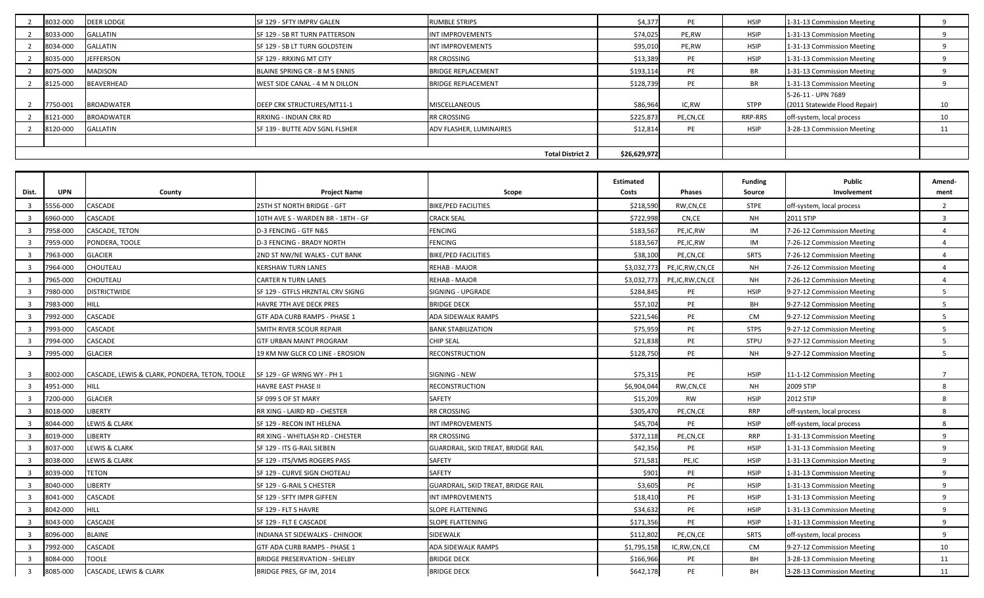| 8032-000                | <b>DEER LODGE</b> | SF 129 - SFTY IMPRV GALEN      | <b>RUMBLE STRIPS</b>      | \$4,377   | PE           | <b>HSIP</b> | 1-31-13 Commission Meeting    |    |
|-------------------------|-------------------|--------------------------------|---------------------------|-----------|--------------|-------------|-------------------------------|----|
| 8033-000                | <b>GALLATIN</b>   | SF 129 - SB RT TURN PATTERSON  | <b>INT IMPROVEMENTS</b>   | \$74,025  | PE,RW        | <b>HSIP</b> | 1-31-13 Commission Meeting    |    |
| 8034-000                | <b>GALLATIN</b>   | SF 129 - SB LT TURN GOLDSTEIN  | <b>INT IMPROVEMENTS</b>   | \$95,010  | PE,RW        | <b>HSIP</b> | 1-31-13 Commission Meeting    |    |
| 8035-000                | <b>JEFFERSON</b>  | SF 129 - RRXING MT CITY        | <b>RR CROSSING</b>        | \$13,389  | PE           | <b>HSIP</b> | 1-31-13 Commission Meeting    |    |
| 8075-000                | <b>MADISON</b>    | BLAINE SPRING CR - 8 M S ENNIS | <b>BRIDGE REPLACEMENT</b> | \$193,114 | PE           | <b>BR</b>   | 1-31-13 Commission Meeting    |    |
| 8125-000                | <b>BEAVERHEAD</b> | WEST SIDE CANAL - 4 M N DILLON | <b>BRIDGE REPLACEMENT</b> | \$128,739 | PE           | <b>BR</b>   | 1-31-13 Commission Meeting    |    |
|                         |                   |                                |                           |           |              |             | 5-26-11 - UPN 7689            |    |
| 7750-001                | <b>BROADWATER</b> | DEEP CRK STRUCTURES/MT11-1     | MISCELLANEOUS             | \$86,964  | IC,RW        | <b>STPP</b> | (2011 Statewide Flood Repair) | 10 |
| 8121-000                | <b>BROADWATER</b> | <b>RRXING - INDIAN CRK RD</b>  | <b>RR CROSSING</b>        | \$225,873 | PE,CN,CE     | RRP-RRS     | off-system, local process     | 10 |
| 8120-000                | <b>GALLATIN</b>   | SF 139 - BUTTE ADV SGNL FLSHER | ADV FLASHER, LUMINAIRES   | \$12,814  | PE           | <b>HSIP</b> | 3-28-13 Commission Meeting    | 11 |
|                         |                   |                                |                           |           |              |             |                               |    |
| <b>Total District 2</b> |                   |                                |                           |           | \$26,629,972 |             |                               |    |

| Dist.  | <b>UPN</b> | County                                        | <b>Project Name</b>                 | Scope                                     | <b>Estimated</b><br>Costs | Phases         | <b>Funding</b><br>Source | Public<br>Involvement      | Amend-<br>ment |
|--------|------------|-----------------------------------------------|-------------------------------------|-------------------------------------------|---------------------------|----------------|--------------------------|----------------------------|----------------|
|        | 556-000    | CASCADE                                       | 25TH ST NORTH BRIDGE - GFT          | <b>BIKE/PED FACILITIES</b>                | \$218,590                 | RW,CN,CE       | <b>STPE</b>              | off-system, local process  | $\overline{2}$ |
|        | 6960-000   | CASCADE                                       | 10TH AVE S - WARDEN BR - 18TH - GF  | <b>CRACK SEAL</b>                         | \$722,998                 | CN,CE          | <b>NH</b>                | 2011 STIP                  | $\overline{3}$ |
|        | 7958-000   | CASCADE, TETON                                | D-3 FENCING - GTF N&S               | <b>FENCING</b>                            | \$183,567                 | PE,IC,RW       | IM                       | 7-26-12 Commission Meeting | $\overline{4}$ |
| ्द     | 7959-000   | PONDERA, TOOLE                                | D-3 FENCING - BRADY NORTH           | <b>FENCING</b>                            | \$183,567                 | PE,IC,RW       | IM                       | 7-26-12 Commission Meeting | $\overline{4}$ |
| ्र     | 7963-000   | <b>GLACIER</b>                                | 2ND ST NW/NE WALKS - CUT BANK       | <b>BIKE/PED FACILITIES</b>                | \$38,100                  | PE,CN,CE       | <b>SRTS</b>              | 7-26-12 Commission Meeting | $\overline{4}$ |
|        | 7964-000   | CHOUTEAU                                      | <b>KERSHAW TURN LANES</b>           | REHAB - MAJOR                             | \$3,032,773               | PE,IC,RW,CN,CE | <b>NH</b>                | 7-26-12 Commission Meeting | $\overline{4}$ |
|        | 7965-000   | CHOUTEAU                                      | CARTER N TURN LANES                 | REHAB - MAJOR                             | \$3,032,773               | PE,IC,RW,CN,CE | <b>NH</b>                | 7-26-12 Commission Meeting | $\overline{4}$ |
| ્વ     | 7980-000   | <b>DISTRICTWIDE</b>                           | SF 129 - GTFLS HRZNTAL CRV SIGNG    | SIGNING - UPGRADE                         | \$284,845                 | PE             | <b>HSIP</b>              | 9-27-12 Commission Meeting | 5              |
| -3     | 7983-000   | <b>HILL</b>                                   | HAVRE 7TH AVE DECK PRES             | <b>BRIDGE DECK</b>                        | \$57,102                  | PE             | BH                       | 9-27-12 Commission Meeting | .5             |
|        | '992-000   | CASCADE                                       | GTF ADA CURB RAMPS - PHASE 1        | ADA SIDEWALK RAMPS                        | \$221,546                 | PE             | CM                       | 9-27-12 Commission Meeting | 5              |
| -3     | 7993-000   | CASCADE                                       | SMITH RIVER SCOUR REPAIR            | <b>BANK STABILIZATION</b>                 | \$75,959                  | PE             | <b>STPS</b>              | 9-27-12 Commission Meeting | 5 <sup>5</sup> |
|        | 7994-000   | CASCADE                                       | <b>GTF URBAN MAINT PROGRAM</b>      | <b>CHIP SEAL</b>                          | \$21,838                  | PE             | <b>STPU</b>              | 9-27-12 Commission Meeting | 5              |
| -3     | 7995-000   | <b>GLACIER</b>                                | 19 KM NW GLCR CO LINE - EROSION     | <b>RECONSTRUCTION</b>                     | \$128,750                 | PE             | <b>NH</b>                | 9-27-12 Commission Meeting | .5             |
| -3     | 8002-000   | CASCADE, LEWIS & CLARK, PONDERA, TETON, TOOLE | SF 129 - GF WRNG WY - PH 1          | SIGNING - NEW                             | \$75,315                  | PE             | <b>HSIP</b>              | 11-1-12 Commission Meeting | $\overline{7}$ |
|        | 4951-000   | <b>HILL</b>                                   | HAVRE EAST PHASE II                 | RECONSTRUCTION                            | \$6,904,044               | RW,CN,CE       | <b>NH</b>                | 2009 STIP                  | 8              |
| -3     | 7200-000   | <b>GLACIER</b>                                | SF 099 S OF ST MARY                 | SAFETY                                    | \$15,209                  | RW             | <b>HSIP</b>              | 2012 STIP                  | 8              |
|        | 8018-000   | <b>LIBERTY</b>                                | RR XING - LAIRD RD - CHESTER        | <b>RR CROSSING</b>                        | \$305,470                 | PE,CN,CE       | <b>RRP</b>               | off-system, local process  | 8              |
| ્વ     | 8044-000   | LEWIS & CLARK                                 | SF 129 - RECON INT HELENA           | <b>INT IMPROVEMENTS</b>                   | \$45,704                  | PE             | <b>HSIP</b>              | off-system, local process  | 8              |
|        | 8019-000   | <b>LIBERTY</b>                                | RR XING - WHITLASH RD - CHESTER     | <b>RR CROSSING</b>                        | \$372,118                 | PE,CN,CE       | <b>RRP</b>               | 1-31-13 Commission Meeting | $\mathsf{q}$   |
| ્વ     | 8037-000   | LEWIS & CLARK                                 | SF 129 - ITS G-RAIL SIEBEN          | <b>GUARDRAIL, SKID TREAT, BRIDGE RAIL</b> | \$42,356                  | PE             | <b>HSIP</b>              | 1-31-13 Commission Meeting | 9              |
| ्र     | 8038-000   | <b>LEWIS &amp; CLARK</b>                      | SF 129 - ITS/VMS ROGERS PASS        | SAFETY                                    | \$71,581                  | PE,IC          | <b>HSIP</b>              | 1-31-13 Commission Meeting | $\mathbf{q}$   |
|        | 8039-000   | <b>TETON</b>                                  | SF 129 - CURVE SIGN CHOTEAU         | <b>SAFETY</b>                             | \$901                     | PE             | <b>HSIP</b>              | 1-31-13 Commission Meeting | 9              |
| -3     | 8040-000   | <b>LIBERTY</b>                                | SF 129 - G-RAIL S CHESTER           | GUARDRAIL, SKID TREAT, BRIDGE RAIL        | \$3,605                   | PE             | <b>HSIP</b>              | 1-31-13 Commission Meeting | 9              |
| ्र     | 8041-000   | CASCADE                                       | SF 129 - SFTY IMPR GIFFEN           | <b>INT IMPROVEMENTS</b>                   | \$18,410                  | PE             | <b>HSIP</b>              | 1-31-13 Commission Meeting | $\mathbf{q}$   |
| -3     | 8042-000   | <b>HILL</b>                                   | SF 129 - FLT S HAVRE                | SLOPE FLATTENING                          | \$34,632                  | PE             | <b>HSIP</b>              | 1-31-13 Commission Meeting | $\mathbf{q}$   |
|        | 8043-000   | CASCADE                                       | SF 129 - FLT E CASCADE              | <b>SLOPE FLATTENING</b>                   | \$171,356                 | PE             | <b>HSIP</b>              | 1-31-13 Commission Meeting | $\mathbf{q}$   |
| 3      | 8096-000   | <b>BLAINE</b>                                 | INDIANA ST SIDEWALKS - CHINOOK      | SIDEWALK                                  | \$112,802                 | PE,CN,CE       | SRTS                     | off-system, local process  | 9              |
|        | 7992-000   | CASCADE                                       | GTF ADA CURB RAMPS - PHASE 1        | <b>ADA SIDEWALK RAMPS</b>                 | \$1,795,158               | IC,RW,CN,CE    | CM                       | 9-27-12 Commission Meeting | 10             |
| ્વ     | 8084-000   | <b>TOOLE</b>                                  | <b>BRIDGE PRESERVATION - SHELBY</b> | <b>BRIDGE DECK</b>                        | \$166,966                 | PE             | BH                       | 3-28-13 Commission Meeting | 11             |
| $_{3}$ | 8085-000   | CASCADE, LEWIS & CLARK                        | BRIDGE PRES, GF IM, 2014            | <b>BRIDGE DECK</b>                        | \$642,178                 | PE             | BH                       | 3-28-13 Commission Meeting | 11             |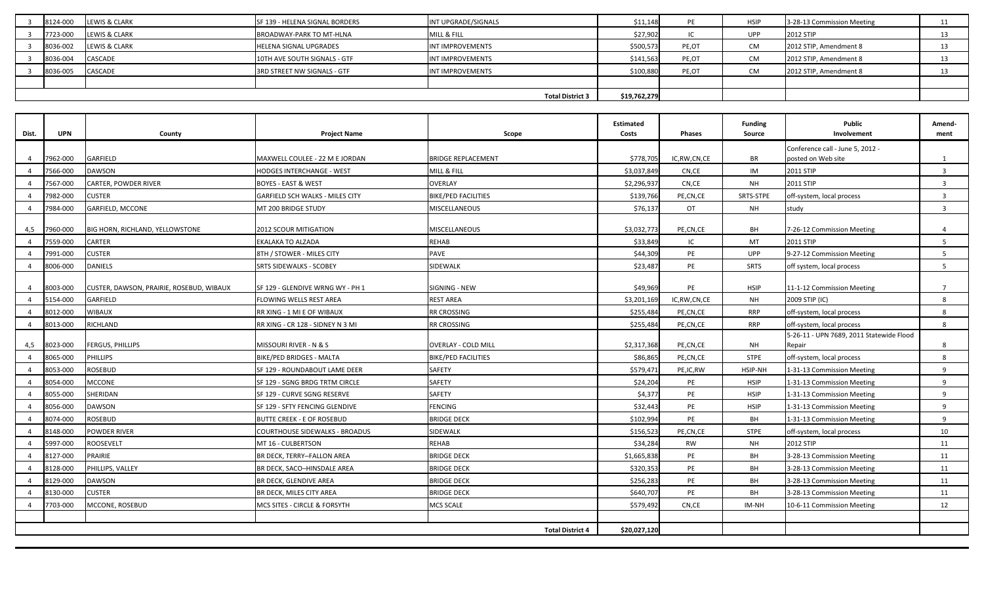| 8124-000                | <b>LEWIS &amp; CLARK</b> | SF 139 - HELENA SIGNAL BORDERS | INT UPGRADE/SIGNALS | \$11,148  |              | <b>HSIP</b> | 3-28-13 Commission Meeting |  |
|-------------------------|--------------------------|--------------------------------|---------------------|-----------|--------------|-------------|----------------------------|--|
| 7723-000                | <b>LEWIS &amp; CLARK</b> | BROADWAY-PARK TO MT-HLNA       | MILL & FILL         | \$27,902  |              | <b>UPP</b>  | <b>2012 STIP</b>           |  |
| 8036-002                | <b>LEWIS &amp; CLARK</b> | <b>HELENA SIGNAL UPGRADES</b>  | INT IMPROVEMENTS    | \$500,573 | PE,OT        | <b>CM</b>   | 2012 STIP, Amendment 8     |  |
| 8036-004                | <b>CASCADE</b>           | 10TH AVE SOUTH SIGNALS - GTF   | INT IMPROVEMENTS    | \$141,563 | PE,OT        | <b>CM</b>   | 2012 STIP, Amendment 8     |  |
| 8036-005                | <b>CASCADE</b>           | 3RD STREET NW SIGNALS - GTF    | INT IMPROVEMENTS    | \$100,880 | PE,OT        | <b>CM</b>   | 2012 STIP, Amendment 8     |  |
|                         |                          |                                |                     |           |              |             |                            |  |
| <b>Total District 3</b> |                          |                                |                     |           | \$19,762,279 |             |                            |  |

| Conference call - June 5, 2012 -<br>GARFIELD<br>\$778,705<br>BR<br>7962-000<br>MAXWELL COULEE - 22 M E JORDAN<br><b>BRIDGE REPLACEMENT</b><br>IC,RW,CN,CE<br>oosted on Web site<br>$\overline{a}$<br>1<br>7566-000<br>DAWSON<br>IM<br>$\overline{3}$<br>MILL & FILL<br>\$3,037,849<br>CN,CE<br>2011 STIP<br>HODGES INTERCHANGE - WEST<br>7567-000<br>CARTER, POWDER RIVER<br>\$2,296,937<br>CN,CE<br><b>NH</b><br>2011 STIP<br>$\overline{3}$<br><b>BOYES - EAST &amp; WEST</b><br><b>OVERLAY</b><br>7982-000<br><b>CUSTER</b><br>GARFIELD SCH WALKS - MILES CITY<br><b>BIKE/PED FACILITIES</b><br>\$139,766<br>PE,CN,CE<br>SRTS-STPE<br>off-system, local process<br>$\overline{3}$<br>7984-000<br><b>OT</b><br>GARFIELD, MCCONE<br>MISCELLANEOUS<br>\$76,137<br><b>NH</b><br>study<br>$\overline{3}$<br>MT 200 BRIDGE STUDY<br>\$3,032,773<br>960-000<br>BIG HORN, RICHLAND, YELLOWSTONE<br>2012 SCOUR MITIGATION<br><b>MISCELLANEOUS</b><br>PE,CN,CE<br>BH<br>4,5<br>7-26-12 Commission Meeting<br>4<br>2011 STIP<br>7559-000<br><b>CARTER</b><br><b>EKALAKA TO ALZADA</b><br><b>REHAB</b><br>\$33,849<br>IC<br>MT<br>5 <sup>1</sup><br>$\Delta$<br>7991-000<br><b>CUSTER</b><br><b>PAVE</b><br>PE<br><b>UPP</b><br>5 <sup>5</sup><br>8TH / STOWER - MILES CITY<br>\$44,309<br>9-27-12 Commission Meeting<br>8006-000<br>DANIELS<br>SIDEWALK<br>PE<br>SRTS<br>5 <sup>1</sup><br><b>SRTS SIDEWALKS - SCOBEY</b><br>\$23,487<br>off system, local process<br>SIGNING - NEW<br>\$49,969<br>PE<br><b>HSIP</b><br>8003-000<br>CUSTER, DAWSON, PRAIRIE, ROSEBUD, WIBAUX<br>SF 129 - GLENDIVE WRNG WY - PH 1<br>11-1-12 Commission Meeting<br>$7^{\circ}$<br>Δ<br>5154-000<br>GARFIELD<br><b>NH</b><br>2009 STIP (IC)<br><b>REST AREA</b><br>\$3,201,169<br>IC,RW,CN,CE<br>8<br>FLOWING WELLS REST AREA<br><b>WIBAUX</b><br>8012-000<br><b>RR CROSSING</b><br><b>RRP</b><br>RR XING - 1 MI E OF WIBAUX<br>\$255,484<br>PE,CN,CE<br>off-system, local process<br>8<br><b>RRP</b><br>RICHLAND<br>\$255,484<br>8<br>8013-000<br>RR CROSSING<br>PE,CN,CE<br>off-system, local process<br>RR XING - CR 128 - SIDNEY N 3 MI<br>$\overline{4}$<br>5-26-11 - UPN 7689, 2011 Statewide Flood<br>\$2,317,368<br>8023-000<br><b>FERGUS, PHILLIPS</b><br>MISSOURI RIVER - N & S<br>PE,CN,CE<br>NH<br>Repair<br><b>OVERLAY - COLD MILL</b><br>8<br>4,5<br>8065-000<br><b>PHILLIPS</b><br>\$86,865<br><b>STPE</b><br>8<br><b>BIKE/PED BRIDGES - MALTA</b><br><b>BIKE/PED FACILITIES</b><br>PE,CN,CE<br>off-system, local process<br><b>ROSEBUD</b><br>8053-000<br>SAFETY<br>\$579,471<br>HSIP-NH<br>9<br>SF 129 - ROUNDABOUT LAME DEER<br>PE,IC,RW<br>1-31-13 Commission Meeting<br><b>MCCONE</b><br>8054-000<br>SAFETY<br>\$24,204<br>PE<br><b>HSIP</b><br>9<br>SF 129 - SGNG BRDG TRTM CIRCLE<br>1-31-13 Commission Meeting<br>8055-000<br>SHERIDAN<br>SAFETY<br>\$4,377<br>PE<br><b>HSIP</b><br>9<br>SF 129 - CURVE SGNG RESERVE<br>1-31-13 Commission Meeting<br>8056-000<br><b>DAWSON</b><br><b>FENCING</b><br>\$32,443<br>PE<br><b>HSIP</b><br>SF 129 - SFTY FENCING GLENDIVE<br>1-31-13 Commission Meeting<br>9<br>8074-000<br>\$102,994<br>PE<br>9<br>ROSEBUD<br><b>BUTTE CREEK - E OF ROSEBUD</b><br><b>BRIDGE DECK</b><br>BH<br>1-31-13 Commission Meeting<br>SIDEWALK<br>8148-000<br>POWDER RIVER<br><b>COURTHOUSE SIDEWALKS - BROADUS</b><br>\$156,523<br>PE,CN,CE<br><b>STPE</b><br>off-system, local process<br>10<br>5997-000<br><b>ROOSEVELT</b><br><b>REHAB</b><br>2012 STIP<br>MT 16 - CULBERTSON<br>\$34,284<br>RW<br>NH<br>11<br>8127-000<br>PRAIRIE<br>\$1,665,838<br>PE<br>BH<br><b>BRIDGE DECK</b><br>3-28-13 Commission Meeting<br>11<br>BR DECK, TERRY-FALLON AREA<br>8128-000<br>PHILLIPS, VALLEY<br><b>BRIDGE DECK</b><br>\$320,353<br>PE<br>BH<br>BR DECK, SACO-HINSDALE AREA<br>3-28-13 Commission Meeting<br>11<br>PE<br>BH<br>8129-000<br>DAWSON<br><b>BRIDGE DECK</b><br>\$256,283<br>BR DECK, GLENDIVE AREA<br>3-28-13 Commission Meeting<br>11<br>8130-000<br><b>CUSTER</b><br><b>BRIDGE DECK</b><br>\$640,707<br>PE<br>BH<br>BR DECK, MILES CITY AREA<br>3-28-13 Commission Meeting<br>11<br>MCCONE, ROSEBUD<br>7703-000<br>MCS SITES - CIRCLE & FORSYTH<br><b>MCS SCALE</b><br>\$579,492<br>CN,CE<br>IM-NH<br>10-6-11 Commission Meeting<br>12<br>\$20,027,120<br><b>Total District 4</b> | Dist. | <b>UPN</b> | County | <b>Project Name</b> | Scope | Estimated<br>Costs | Phases | <b>Funding</b><br>Source | <b>Public</b><br>Involvement | Amend-<br>ment |
|-------------------------------------------------------------------------------------------------------------------------------------------------------------------------------------------------------------------------------------------------------------------------------------------------------------------------------------------------------------------------------------------------------------------------------------------------------------------------------------------------------------------------------------------------------------------------------------------------------------------------------------------------------------------------------------------------------------------------------------------------------------------------------------------------------------------------------------------------------------------------------------------------------------------------------------------------------------------------------------------------------------------------------------------------------------------------------------------------------------------------------------------------------------------------------------------------------------------------------------------------------------------------------------------------------------------------------------------------------------------------------------------------------------------------------------------------------------------------------------------------------------------------------------------------------------------------------------------------------------------------------------------------------------------------------------------------------------------------------------------------------------------------------------------------------------------------------------------------------------------------------------------------------------------------------------------------------------------------------------------------------------------------------------------------------------------------------------------------------------------------------------------------------------------------------------------------------------------------------------------------------------------------------------------------------------------------------------------------------------------------------------------------------------------------------------------------------------------------------------------------------------------------------------------------------------------------------------------------------------------------------------------------------------------------------------------------------------------------------------------------------------------------------------------------------------------------------------------------------------------------------------------------------------------------------------------------------------------------------------------------------------------------------------------------------------------------------------------------------------------------------------------------------------------------------------------------------------------------------------------------------------------------------------------------------------------------------------------------------------------------------------------------------------------------------------------------------------------------------------------------------------------------------------------------------------------------------------------------------------------------------------------------------------------------------------------------------------------------------------------------------------------------------------------------------------------------------------------------------------------------------------------------------------------------------------------------------------------------------------------------------------------------------------------------------------------------------------------------------------------------------------------------------------------------------------------------------------------------------------------------------------------------------------------------------------|-------|------------|--------|---------------------|-------|--------------------|--------|--------------------------|------------------------------|----------------|
|                                                                                                                                                                                                                                                                                                                                                                                                                                                                                                                                                                                                                                                                                                                                                                                                                                                                                                                                                                                                                                                                                                                                                                                                                                                                                                                                                                                                                                                                                                                                                                                                                                                                                                                                                                                                                                                                                                                                                                                                                                                                                                                                                                                                                                                                                                                                                                                                                                                                                                                                                                                                                                                                                                                                                                                                                                                                                                                                                                                                                                                                                                                                                                                                                                                                                                                                                                                                                                                                                                                                                                                                                                                                                                                                                                                                                                                                                                                                                                                                                                                                                                                                                                                                                                                                                                             |       |            |        |                     |       |                    |        |                          |                              |                |
|                                                                                                                                                                                                                                                                                                                                                                                                                                                                                                                                                                                                                                                                                                                                                                                                                                                                                                                                                                                                                                                                                                                                                                                                                                                                                                                                                                                                                                                                                                                                                                                                                                                                                                                                                                                                                                                                                                                                                                                                                                                                                                                                                                                                                                                                                                                                                                                                                                                                                                                                                                                                                                                                                                                                                                                                                                                                                                                                                                                                                                                                                                                                                                                                                                                                                                                                                                                                                                                                                                                                                                                                                                                                                                                                                                                                                                                                                                                                                                                                                                                                                                                                                                                                                                                                                                             |       |            |        |                     |       |                    |        |                          |                              |                |
|                                                                                                                                                                                                                                                                                                                                                                                                                                                                                                                                                                                                                                                                                                                                                                                                                                                                                                                                                                                                                                                                                                                                                                                                                                                                                                                                                                                                                                                                                                                                                                                                                                                                                                                                                                                                                                                                                                                                                                                                                                                                                                                                                                                                                                                                                                                                                                                                                                                                                                                                                                                                                                                                                                                                                                                                                                                                                                                                                                                                                                                                                                                                                                                                                                                                                                                                                                                                                                                                                                                                                                                                                                                                                                                                                                                                                                                                                                                                                                                                                                                                                                                                                                                                                                                                                                             |       |            |        |                     |       |                    |        |                          |                              |                |
|                                                                                                                                                                                                                                                                                                                                                                                                                                                                                                                                                                                                                                                                                                                                                                                                                                                                                                                                                                                                                                                                                                                                                                                                                                                                                                                                                                                                                                                                                                                                                                                                                                                                                                                                                                                                                                                                                                                                                                                                                                                                                                                                                                                                                                                                                                                                                                                                                                                                                                                                                                                                                                                                                                                                                                                                                                                                                                                                                                                                                                                                                                                                                                                                                                                                                                                                                                                                                                                                                                                                                                                                                                                                                                                                                                                                                                                                                                                                                                                                                                                                                                                                                                                                                                                                                                             |       |            |        |                     |       |                    |        |                          |                              |                |
|                                                                                                                                                                                                                                                                                                                                                                                                                                                                                                                                                                                                                                                                                                                                                                                                                                                                                                                                                                                                                                                                                                                                                                                                                                                                                                                                                                                                                                                                                                                                                                                                                                                                                                                                                                                                                                                                                                                                                                                                                                                                                                                                                                                                                                                                                                                                                                                                                                                                                                                                                                                                                                                                                                                                                                                                                                                                                                                                                                                                                                                                                                                                                                                                                                                                                                                                                                                                                                                                                                                                                                                                                                                                                                                                                                                                                                                                                                                                                                                                                                                                                                                                                                                                                                                                                                             |       |            |        |                     |       |                    |        |                          |                              |                |
|                                                                                                                                                                                                                                                                                                                                                                                                                                                                                                                                                                                                                                                                                                                                                                                                                                                                                                                                                                                                                                                                                                                                                                                                                                                                                                                                                                                                                                                                                                                                                                                                                                                                                                                                                                                                                                                                                                                                                                                                                                                                                                                                                                                                                                                                                                                                                                                                                                                                                                                                                                                                                                                                                                                                                                                                                                                                                                                                                                                                                                                                                                                                                                                                                                                                                                                                                                                                                                                                                                                                                                                                                                                                                                                                                                                                                                                                                                                                                                                                                                                                                                                                                                                                                                                                                                             |       |            |        |                     |       |                    |        |                          |                              |                |
|                                                                                                                                                                                                                                                                                                                                                                                                                                                                                                                                                                                                                                                                                                                                                                                                                                                                                                                                                                                                                                                                                                                                                                                                                                                                                                                                                                                                                                                                                                                                                                                                                                                                                                                                                                                                                                                                                                                                                                                                                                                                                                                                                                                                                                                                                                                                                                                                                                                                                                                                                                                                                                                                                                                                                                                                                                                                                                                                                                                                                                                                                                                                                                                                                                                                                                                                                                                                                                                                                                                                                                                                                                                                                                                                                                                                                                                                                                                                                                                                                                                                                                                                                                                                                                                                                                             |       |            |        |                     |       |                    |        |                          |                              |                |
|                                                                                                                                                                                                                                                                                                                                                                                                                                                                                                                                                                                                                                                                                                                                                                                                                                                                                                                                                                                                                                                                                                                                                                                                                                                                                                                                                                                                                                                                                                                                                                                                                                                                                                                                                                                                                                                                                                                                                                                                                                                                                                                                                                                                                                                                                                                                                                                                                                                                                                                                                                                                                                                                                                                                                                                                                                                                                                                                                                                                                                                                                                                                                                                                                                                                                                                                                                                                                                                                                                                                                                                                                                                                                                                                                                                                                                                                                                                                                                                                                                                                                                                                                                                                                                                                                                             |       |            |        |                     |       |                    |        |                          |                              |                |
|                                                                                                                                                                                                                                                                                                                                                                                                                                                                                                                                                                                                                                                                                                                                                                                                                                                                                                                                                                                                                                                                                                                                                                                                                                                                                                                                                                                                                                                                                                                                                                                                                                                                                                                                                                                                                                                                                                                                                                                                                                                                                                                                                                                                                                                                                                                                                                                                                                                                                                                                                                                                                                                                                                                                                                                                                                                                                                                                                                                                                                                                                                                                                                                                                                                                                                                                                                                                                                                                                                                                                                                                                                                                                                                                                                                                                                                                                                                                                                                                                                                                                                                                                                                                                                                                                                             |       |            |        |                     |       |                    |        |                          |                              |                |
|                                                                                                                                                                                                                                                                                                                                                                                                                                                                                                                                                                                                                                                                                                                                                                                                                                                                                                                                                                                                                                                                                                                                                                                                                                                                                                                                                                                                                                                                                                                                                                                                                                                                                                                                                                                                                                                                                                                                                                                                                                                                                                                                                                                                                                                                                                                                                                                                                                                                                                                                                                                                                                                                                                                                                                                                                                                                                                                                                                                                                                                                                                                                                                                                                                                                                                                                                                                                                                                                                                                                                                                                                                                                                                                                                                                                                                                                                                                                                                                                                                                                                                                                                                                                                                                                                                             |       |            |        |                     |       |                    |        |                          |                              |                |
|                                                                                                                                                                                                                                                                                                                                                                                                                                                                                                                                                                                                                                                                                                                                                                                                                                                                                                                                                                                                                                                                                                                                                                                                                                                                                                                                                                                                                                                                                                                                                                                                                                                                                                                                                                                                                                                                                                                                                                                                                                                                                                                                                                                                                                                                                                                                                                                                                                                                                                                                                                                                                                                                                                                                                                                                                                                                                                                                                                                                                                                                                                                                                                                                                                                                                                                                                                                                                                                                                                                                                                                                                                                                                                                                                                                                                                                                                                                                                                                                                                                                                                                                                                                                                                                                                                             |       |            |        |                     |       |                    |        |                          |                              |                |
|                                                                                                                                                                                                                                                                                                                                                                                                                                                                                                                                                                                                                                                                                                                                                                                                                                                                                                                                                                                                                                                                                                                                                                                                                                                                                                                                                                                                                                                                                                                                                                                                                                                                                                                                                                                                                                                                                                                                                                                                                                                                                                                                                                                                                                                                                                                                                                                                                                                                                                                                                                                                                                                                                                                                                                                                                                                                                                                                                                                                                                                                                                                                                                                                                                                                                                                                                                                                                                                                                                                                                                                                                                                                                                                                                                                                                                                                                                                                                                                                                                                                                                                                                                                                                                                                                                             |       |            |        |                     |       |                    |        |                          |                              |                |
|                                                                                                                                                                                                                                                                                                                                                                                                                                                                                                                                                                                                                                                                                                                                                                                                                                                                                                                                                                                                                                                                                                                                                                                                                                                                                                                                                                                                                                                                                                                                                                                                                                                                                                                                                                                                                                                                                                                                                                                                                                                                                                                                                                                                                                                                                                                                                                                                                                                                                                                                                                                                                                                                                                                                                                                                                                                                                                                                                                                                                                                                                                                                                                                                                                                                                                                                                                                                                                                                                                                                                                                                                                                                                                                                                                                                                                                                                                                                                                                                                                                                                                                                                                                                                                                                                                             |       |            |        |                     |       |                    |        |                          |                              |                |
|                                                                                                                                                                                                                                                                                                                                                                                                                                                                                                                                                                                                                                                                                                                                                                                                                                                                                                                                                                                                                                                                                                                                                                                                                                                                                                                                                                                                                                                                                                                                                                                                                                                                                                                                                                                                                                                                                                                                                                                                                                                                                                                                                                                                                                                                                                                                                                                                                                                                                                                                                                                                                                                                                                                                                                                                                                                                                                                                                                                                                                                                                                                                                                                                                                                                                                                                                                                                                                                                                                                                                                                                                                                                                                                                                                                                                                                                                                                                                                                                                                                                                                                                                                                                                                                                                                             |       |            |        |                     |       |                    |        |                          |                              |                |
|                                                                                                                                                                                                                                                                                                                                                                                                                                                                                                                                                                                                                                                                                                                                                                                                                                                                                                                                                                                                                                                                                                                                                                                                                                                                                                                                                                                                                                                                                                                                                                                                                                                                                                                                                                                                                                                                                                                                                                                                                                                                                                                                                                                                                                                                                                                                                                                                                                                                                                                                                                                                                                                                                                                                                                                                                                                                                                                                                                                                                                                                                                                                                                                                                                                                                                                                                                                                                                                                                                                                                                                                                                                                                                                                                                                                                                                                                                                                                                                                                                                                                                                                                                                                                                                                                                             |       |            |        |                     |       |                    |        |                          |                              |                |
|                                                                                                                                                                                                                                                                                                                                                                                                                                                                                                                                                                                                                                                                                                                                                                                                                                                                                                                                                                                                                                                                                                                                                                                                                                                                                                                                                                                                                                                                                                                                                                                                                                                                                                                                                                                                                                                                                                                                                                                                                                                                                                                                                                                                                                                                                                                                                                                                                                                                                                                                                                                                                                                                                                                                                                                                                                                                                                                                                                                                                                                                                                                                                                                                                                                                                                                                                                                                                                                                                                                                                                                                                                                                                                                                                                                                                                                                                                                                                                                                                                                                                                                                                                                                                                                                                                             |       |            |        |                     |       |                    |        |                          |                              |                |
|                                                                                                                                                                                                                                                                                                                                                                                                                                                                                                                                                                                                                                                                                                                                                                                                                                                                                                                                                                                                                                                                                                                                                                                                                                                                                                                                                                                                                                                                                                                                                                                                                                                                                                                                                                                                                                                                                                                                                                                                                                                                                                                                                                                                                                                                                                                                                                                                                                                                                                                                                                                                                                                                                                                                                                                                                                                                                                                                                                                                                                                                                                                                                                                                                                                                                                                                                                                                                                                                                                                                                                                                                                                                                                                                                                                                                                                                                                                                                                                                                                                                                                                                                                                                                                                                                                             |       |            |        |                     |       |                    |        |                          |                              |                |
|                                                                                                                                                                                                                                                                                                                                                                                                                                                                                                                                                                                                                                                                                                                                                                                                                                                                                                                                                                                                                                                                                                                                                                                                                                                                                                                                                                                                                                                                                                                                                                                                                                                                                                                                                                                                                                                                                                                                                                                                                                                                                                                                                                                                                                                                                                                                                                                                                                                                                                                                                                                                                                                                                                                                                                                                                                                                                                                                                                                                                                                                                                                                                                                                                                                                                                                                                                                                                                                                                                                                                                                                                                                                                                                                                                                                                                                                                                                                                                                                                                                                                                                                                                                                                                                                                                             |       |            |        |                     |       |                    |        |                          |                              |                |
|                                                                                                                                                                                                                                                                                                                                                                                                                                                                                                                                                                                                                                                                                                                                                                                                                                                                                                                                                                                                                                                                                                                                                                                                                                                                                                                                                                                                                                                                                                                                                                                                                                                                                                                                                                                                                                                                                                                                                                                                                                                                                                                                                                                                                                                                                                                                                                                                                                                                                                                                                                                                                                                                                                                                                                                                                                                                                                                                                                                                                                                                                                                                                                                                                                                                                                                                                                                                                                                                                                                                                                                                                                                                                                                                                                                                                                                                                                                                                                                                                                                                                                                                                                                                                                                                                                             |       |            |        |                     |       |                    |        |                          |                              |                |
|                                                                                                                                                                                                                                                                                                                                                                                                                                                                                                                                                                                                                                                                                                                                                                                                                                                                                                                                                                                                                                                                                                                                                                                                                                                                                                                                                                                                                                                                                                                                                                                                                                                                                                                                                                                                                                                                                                                                                                                                                                                                                                                                                                                                                                                                                                                                                                                                                                                                                                                                                                                                                                                                                                                                                                                                                                                                                                                                                                                                                                                                                                                                                                                                                                                                                                                                                                                                                                                                                                                                                                                                                                                                                                                                                                                                                                                                                                                                                                                                                                                                                                                                                                                                                                                                                                             |       |            |        |                     |       |                    |        |                          |                              |                |
|                                                                                                                                                                                                                                                                                                                                                                                                                                                                                                                                                                                                                                                                                                                                                                                                                                                                                                                                                                                                                                                                                                                                                                                                                                                                                                                                                                                                                                                                                                                                                                                                                                                                                                                                                                                                                                                                                                                                                                                                                                                                                                                                                                                                                                                                                                                                                                                                                                                                                                                                                                                                                                                                                                                                                                                                                                                                                                                                                                                                                                                                                                                                                                                                                                                                                                                                                                                                                                                                                                                                                                                                                                                                                                                                                                                                                                                                                                                                                                                                                                                                                                                                                                                                                                                                                                             |       |            |        |                     |       |                    |        |                          |                              |                |
|                                                                                                                                                                                                                                                                                                                                                                                                                                                                                                                                                                                                                                                                                                                                                                                                                                                                                                                                                                                                                                                                                                                                                                                                                                                                                                                                                                                                                                                                                                                                                                                                                                                                                                                                                                                                                                                                                                                                                                                                                                                                                                                                                                                                                                                                                                                                                                                                                                                                                                                                                                                                                                                                                                                                                                                                                                                                                                                                                                                                                                                                                                                                                                                                                                                                                                                                                                                                                                                                                                                                                                                                                                                                                                                                                                                                                                                                                                                                                                                                                                                                                                                                                                                                                                                                                                             |       |            |        |                     |       |                    |        |                          |                              |                |
|                                                                                                                                                                                                                                                                                                                                                                                                                                                                                                                                                                                                                                                                                                                                                                                                                                                                                                                                                                                                                                                                                                                                                                                                                                                                                                                                                                                                                                                                                                                                                                                                                                                                                                                                                                                                                                                                                                                                                                                                                                                                                                                                                                                                                                                                                                                                                                                                                                                                                                                                                                                                                                                                                                                                                                                                                                                                                                                                                                                                                                                                                                                                                                                                                                                                                                                                                                                                                                                                                                                                                                                                                                                                                                                                                                                                                                                                                                                                                                                                                                                                                                                                                                                                                                                                                                             |       |            |        |                     |       |                    |        |                          |                              |                |
|                                                                                                                                                                                                                                                                                                                                                                                                                                                                                                                                                                                                                                                                                                                                                                                                                                                                                                                                                                                                                                                                                                                                                                                                                                                                                                                                                                                                                                                                                                                                                                                                                                                                                                                                                                                                                                                                                                                                                                                                                                                                                                                                                                                                                                                                                                                                                                                                                                                                                                                                                                                                                                                                                                                                                                                                                                                                                                                                                                                                                                                                                                                                                                                                                                                                                                                                                                                                                                                                                                                                                                                                                                                                                                                                                                                                                                                                                                                                                                                                                                                                                                                                                                                                                                                                                                             |       |            |        |                     |       |                    |        |                          |                              |                |
|                                                                                                                                                                                                                                                                                                                                                                                                                                                                                                                                                                                                                                                                                                                                                                                                                                                                                                                                                                                                                                                                                                                                                                                                                                                                                                                                                                                                                                                                                                                                                                                                                                                                                                                                                                                                                                                                                                                                                                                                                                                                                                                                                                                                                                                                                                                                                                                                                                                                                                                                                                                                                                                                                                                                                                                                                                                                                                                                                                                                                                                                                                                                                                                                                                                                                                                                                                                                                                                                                                                                                                                                                                                                                                                                                                                                                                                                                                                                                                                                                                                                                                                                                                                                                                                                                                             |       |            |        |                     |       |                    |        |                          |                              |                |
|                                                                                                                                                                                                                                                                                                                                                                                                                                                                                                                                                                                                                                                                                                                                                                                                                                                                                                                                                                                                                                                                                                                                                                                                                                                                                                                                                                                                                                                                                                                                                                                                                                                                                                                                                                                                                                                                                                                                                                                                                                                                                                                                                                                                                                                                                                                                                                                                                                                                                                                                                                                                                                                                                                                                                                                                                                                                                                                                                                                                                                                                                                                                                                                                                                                                                                                                                                                                                                                                                                                                                                                                                                                                                                                                                                                                                                                                                                                                                                                                                                                                                                                                                                                                                                                                                                             |       |            |        |                     |       |                    |        |                          |                              |                |
|                                                                                                                                                                                                                                                                                                                                                                                                                                                                                                                                                                                                                                                                                                                                                                                                                                                                                                                                                                                                                                                                                                                                                                                                                                                                                                                                                                                                                                                                                                                                                                                                                                                                                                                                                                                                                                                                                                                                                                                                                                                                                                                                                                                                                                                                                                                                                                                                                                                                                                                                                                                                                                                                                                                                                                                                                                                                                                                                                                                                                                                                                                                                                                                                                                                                                                                                                                                                                                                                                                                                                                                                                                                                                                                                                                                                                                                                                                                                                                                                                                                                                                                                                                                                                                                                                                             |       |            |        |                     |       |                    |        |                          |                              |                |
|                                                                                                                                                                                                                                                                                                                                                                                                                                                                                                                                                                                                                                                                                                                                                                                                                                                                                                                                                                                                                                                                                                                                                                                                                                                                                                                                                                                                                                                                                                                                                                                                                                                                                                                                                                                                                                                                                                                                                                                                                                                                                                                                                                                                                                                                                                                                                                                                                                                                                                                                                                                                                                                                                                                                                                                                                                                                                                                                                                                                                                                                                                                                                                                                                                                                                                                                                                                                                                                                                                                                                                                                                                                                                                                                                                                                                                                                                                                                                                                                                                                                                                                                                                                                                                                                                                             |       |            |        |                     |       |                    |        |                          |                              |                |
|                                                                                                                                                                                                                                                                                                                                                                                                                                                                                                                                                                                                                                                                                                                                                                                                                                                                                                                                                                                                                                                                                                                                                                                                                                                                                                                                                                                                                                                                                                                                                                                                                                                                                                                                                                                                                                                                                                                                                                                                                                                                                                                                                                                                                                                                                                                                                                                                                                                                                                                                                                                                                                                                                                                                                                                                                                                                                                                                                                                                                                                                                                                                                                                                                                                                                                                                                                                                                                                                                                                                                                                                                                                                                                                                                                                                                                                                                                                                                                                                                                                                                                                                                                                                                                                                                                             |       |            |        |                     |       |                    |        |                          |                              |                |
|                                                                                                                                                                                                                                                                                                                                                                                                                                                                                                                                                                                                                                                                                                                                                                                                                                                                                                                                                                                                                                                                                                                                                                                                                                                                                                                                                                                                                                                                                                                                                                                                                                                                                                                                                                                                                                                                                                                                                                                                                                                                                                                                                                                                                                                                                                                                                                                                                                                                                                                                                                                                                                                                                                                                                                                                                                                                                                                                                                                                                                                                                                                                                                                                                                                                                                                                                                                                                                                                                                                                                                                                                                                                                                                                                                                                                                                                                                                                                                                                                                                                                                                                                                                                                                                                                                             |       |            |        |                     |       |                    |        |                          |                              |                |
|                                                                                                                                                                                                                                                                                                                                                                                                                                                                                                                                                                                                                                                                                                                                                                                                                                                                                                                                                                                                                                                                                                                                                                                                                                                                                                                                                                                                                                                                                                                                                                                                                                                                                                                                                                                                                                                                                                                                                                                                                                                                                                                                                                                                                                                                                                                                                                                                                                                                                                                                                                                                                                                                                                                                                                                                                                                                                                                                                                                                                                                                                                                                                                                                                                                                                                                                                                                                                                                                                                                                                                                                                                                                                                                                                                                                                                                                                                                                                                                                                                                                                                                                                                                                                                                                                                             |       |            |        |                     |       |                    |        |                          |                              |                |
|                                                                                                                                                                                                                                                                                                                                                                                                                                                                                                                                                                                                                                                                                                                                                                                                                                                                                                                                                                                                                                                                                                                                                                                                                                                                                                                                                                                                                                                                                                                                                                                                                                                                                                                                                                                                                                                                                                                                                                                                                                                                                                                                                                                                                                                                                                                                                                                                                                                                                                                                                                                                                                                                                                                                                                                                                                                                                                                                                                                                                                                                                                                                                                                                                                                                                                                                                                                                                                                                                                                                                                                                                                                                                                                                                                                                                                                                                                                                                                                                                                                                                                                                                                                                                                                                                                             |       |            |        |                     |       |                    |        |                          |                              |                |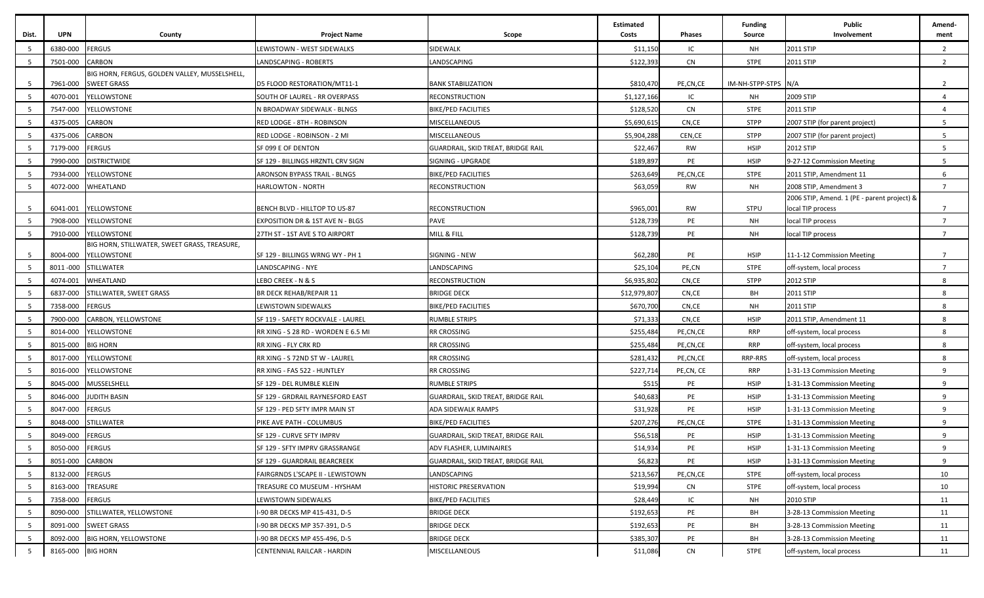| <b>FERGUS</b><br>6380-000<br>SIDEWALK<br>\$11,150<br>IC<br>2011 STIP<br>LEWISTOWN - WEST SIDEWALKS<br>NH<br>$\overline{2}$<br><b>CN</b><br>- 5<br>7501-000<br><b>CARBON</b><br>LANDSCAPING<br>\$122,393<br><b>STPE</b><br>2011 STIP<br>$\overline{2}$<br>LANDSCAPING - ROBERTS<br>BIG HORN, FERGUS, GOLDEN VALLEY, MUSSELSHELL,<br>7961-000<br>\$810,470<br>IM-NH-STPP-STPS N/A<br>- 5<br><b>SWEET GRASS</b><br>D5 FLOOD RESTORATION/MT11-1<br><b>BANK STABILIZATION</b><br>PE,CN,CE<br>$\overline{2}$<br><b>YELLOWSTONE</b><br>IC<br>2009 STIP<br>- 5<br>4070-001<br>SOUTH OF LAUREL - RR OVERPASS<br><b>RECONSTRUCTION</b><br>\$1,127,166<br>NH<br>$\overline{a}$<br>YELLOWSTONE<br>\$128,520<br><b>CN</b><br>- 5<br>7547-000<br>N BROADWAY SIDEWALK - BLNGS<br>BIKE/PED FACILITIES<br><b>STPE</b><br>2011 STIP<br>4<br>4375-005<br><b>CARBON</b><br><b>STPP</b><br>- 5<br>RED LODGE - 8TH - ROBINSON<br>MISCELLANEOUS<br>\$5,690,61<br>CN,CE<br>2007 STIP (for parent project)<br>5<br><b>STPP</b><br>4375-006<br><b>CARBON</b><br>MISCELLANEOUS<br>\$5,904,288<br>CEN, CE<br>5<br>RED LODGE - ROBINSON - 2 MI<br>2007 STIP (for parent project)<br><b>FERGUS</b><br><b>HSIP</b><br>2012 STIP<br>7179-000<br>SF 099 E OF DENTON<br>GUARDRAIL, SKID TREAT, BRIDGE RAIL<br>\$22,467<br><b>RW</b><br>5<br>- 5<br>PE<br>5<br>7990-000<br><b>DISTRICTWIDE</b><br>SF 129 - BILLINGS HRZNTL CRV SIGN<br>\$189,897<br><b>HSIP</b><br>9-27-12 Commission Meeting<br>5<br>SIGNING - UPGRADE<br>5<br>7934-000<br>YELLOWSTONE<br>\$263,649<br>PE,CN,CE<br><b>STPE</b><br>6<br>ARONSON BYPASS TRAIL - BLNGS<br>BIKE/PED FACILITIES<br>2011 STIP, Amendment 11<br>WHEATLAND<br>5<br>4072-000<br>RECONSTRUCTION<br>\$63,059<br><b>RW</b><br><b>NH</b><br>2008 STIP, Amendment 3<br>$\overline{7}$<br><b>HARLOWTON - NORTH</b><br>2006 STIP, Amend. 1 (PE - parent project) &<br>\$965,001<br>- 5<br>6041-001<br><b>YELLOWSTONE</b><br>BENCH BLVD - HILLTOP TO US-87<br><b>RECONSTRUCTION</b><br>RW<br>STPU<br>local TIP process<br>$\overline{7}$<br>5<br>7908-000<br><b>YELLOWSTONE</b><br>PAVE<br>\$128,739<br>PE<br><b>NH</b><br>local TIP process<br>$\overline{7}$<br>EXPOSITION DR & 1ST AVE N - BLGS<br>5<br>7910-000<br><b>YELLOWSTONE</b><br>MILL & FILL<br>\$128,739<br>PE<br><b>NH</b><br>27TH ST - 1ST AVE S TO AIRPORT<br>local TIP process<br>$\overline{7}$<br>BIG HORN, STILLWATER, SWEET GRASS, TREASURE,<br>8004-000<br><b>YELLOWSTONE</b><br>\$62,280<br>- 5<br>SF 129 - BILLINGS WRNG WY - PH 1<br>SIGNING - NEW<br>PE<br><b>HSIP</b><br>11-1-12 Commission Meeting<br>$\overline{7}$<br>LANDSCAPING<br>\$25,104<br>- 5<br>8011 -000<br>STILLWATER<br>LANDSCAPING - NYE<br>PE,CN<br><b>STPE</b><br>off-system, local process<br>$\overline{7}$<br>WHEATLAND<br>RECONSTRUCTION<br>\$6,935,802<br>CN,CE<br>- 5<br>4074-001<br>LEBO CREEK - N & S<br><b>STPP</b><br>2012 STIP<br>8<br>- 5<br>STILLWATER, SWEET GRASS<br>BR DECK REHAB/REPAIR 11<br><b>BRIDGE DECK</b><br>\$12,979,807<br>CN,CE<br>BH<br>2011 STIP<br>6837-000<br>8<br>7358-000<br><b>FERGUS</b><br><b>BIKE/PED FACILITIES</b><br>CN,CE<br><b>NH</b><br>2011 STIP<br>- 5<br>LEWISTOWN SIDEWALKS<br>\$670,700<br>8<br>5<br><b>CARBON, YELLOWSTONE</b><br><b>RUMBLE STRIPS</b><br>\$71,333<br>CN,CE<br><b>HSIP</b><br>2011 STIP, Amendment 11<br>7900-000<br>SF 119 - SAFETY ROCKVALE - LAUREL<br>8<br>YELLOWSTONE<br><b>RR CROSSING</b><br>\$255,484<br>PE,CN,CE<br><b>RRP</b><br>- 5<br>8014-000<br>RR XING - S 28 RD - WORDEN E 6.5 MI<br>off-system, local process<br>8<br>8015-000<br><b>BIG HORN</b><br><b>RR CROSSING</b><br>\$255,484<br>PE,CN,CE<br><b>RRP</b><br>8<br>- 5<br>RR XING - FLY CRK RD<br>off-system, local process<br>- 5<br>8017-000<br>YELLOWSTONE<br><b>RR CROSSING</b><br>\$281,432<br>PE,CN,CE<br><b>RRP-RRS</b><br>8<br>RR XING - S 72ND ST W - LAUREL<br>off-system, local process<br>5<br>8016-000<br>YELLOWSTONE<br><b>RR CROSSING</b><br>\$227,714<br>PE,CN, CE<br><b>RRP</b><br>9<br>RR XING - FAS 522 - HUNTLEY<br>1-31-13 Commission Meeting<br>- 5<br>8045-000<br>MUSSELSHELL<br>\$515<br>PE<br><b>HSIP</b><br>9<br>SF 129 - DEL RUMBLE KLEIN<br><b>RUMBLE STRIPS</b><br>1-31-13 Commission Meeting<br>8046-000<br><b>JUDITH BASIN</b><br>\$40,683<br>PE<br><b>HSIP</b><br>9<br>- 5<br>SF 129 - GRDRAIL RAYNESFORD EAST<br>GUARDRAIL, SKID TREAT, BRIDGE RAIL<br>1-31-13 Commission Meeting<br><b>FERGUS</b><br>8047-000<br>\$31,928<br>PE<br><b>HSIP</b><br>- 5<br>SF 129 - PED SFTY IMPR MAIN ST<br>ADA SIDEWALK RAMPS<br>1-31-13 Commission Meeting<br>-9<br>8048-000<br>STILLWATER<br>PIKE AVE PATH - COLUMBUS<br><b>BIKE/PED FACILITIES</b><br>\$207,276<br>PE,CN,CE<br><b>STPE</b><br>1-31-13 Commission Meeting<br>9<br>-5<br>8049-000<br><b>FERGUS</b><br>\$56,518<br>PE<br><b>HSIP</b><br>SF 129 - CURVE SFTY IMPRV<br>GUARDRAIL, SKID TREAT, BRIDGE RAIL<br>1-31-13 Commission Meeting<br>-9<br>8050-000<br><b>FERGUS</b><br>\$14,934<br>PE<br><b>HSIP</b><br>- 5<br>SF 129 - SFTY IMPRV GRASSRANGE<br>ADV FLASHER, LUMINAIRES<br>1-31-13 Commission Meeting<br>q<br>8051-000<br><b>CARBON</b><br>\$6,823<br>PE<br>$5^{\circ}$<br>SF 129 - GUARDRAIL BEARCREEK<br>GUARDRAIL, SKID TREAT, BRIDGE RAIL<br><b>HSIP</b><br>1-31-13 Commission Meeting<br>9<br><b>FERGUS</b><br>\$213,567<br>8132-000<br>LANDSCAPING<br><b>STPE</b><br>off-system, local process<br>5<br>FAIRGRNDS L'SCAPE II - LEWISTOWN<br>PE,CN,CE<br>10<br>5<br>8163-000<br>TREASURE<br>TREASURE CO MUSEUM - HYSHAM<br><b>HISTORIC PRESERVATION</b><br>\$19,994<br><b>CN</b><br><b>STPE</b><br>off-system, local process<br>10<br>7358-000<br><b>FERGUS</b><br><b>BIKE/PED FACILITIES</b><br>IC<br><b>NH</b><br>2010 STIP<br>$5\overline{5}$<br>LEWISTOWN SIDEWALKS<br>\$28,449<br>11<br>5<br>8090-000<br>STILLWATER, YELLOWSTONE<br><b>BRIDGE DECK</b><br>\$192,653<br>PE<br>BH<br>3-28-13 Commission Meeting<br>-90 BR DECKS MP 415-431, D-5<br>11<br>PE<br>$5\overline{5}$<br><b>SWEET GRASS</b><br><b>BRIDGE DECK</b><br>\$192,653<br>BH<br>3-28-13 Commission Meeting<br>8091-000<br>-90 BR DECKS MP 357-391, D-5<br>11<br>5<br><b>BIG HORN, YELLOWSTONE</b><br>I-90 BR DECKS MP 455-496, D-5<br><b>BRIDGE DECK</b><br>\$385,307<br>BH<br>3-28-13 Commission Meeting<br>8092-000<br>PE<br>11<br>8165-000 BIG HORN<br>CENTENNIAL RAILCAR - HARDIN<br><b>CN</b><br><b>STPE</b><br>5 | Dist. | <b>UPN</b> | County | <b>Project Name</b> | Scope         | <b>Estimated</b><br>Costs | <b>Phases</b> | <b>Funding</b><br><b>Source</b> | <b>Public</b><br>Involvement | Amend-<br>ment |
|-----------------------------------------------------------------------------------------------------------------------------------------------------------------------------------------------------------------------------------------------------------------------------------------------------------------------------------------------------------------------------------------------------------------------------------------------------------------------------------------------------------------------------------------------------------------------------------------------------------------------------------------------------------------------------------------------------------------------------------------------------------------------------------------------------------------------------------------------------------------------------------------------------------------------------------------------------------------------------------------------------------------------------------------------------------------------------------------------------------------------------------------------------------------------------------------------------------------------------------------------------------------------------------------------------------------------------------------------------------------------------------------------------------------------------------------------------------------------------------------------------------------------------------------------------------------------------------------------------------------------------------------------------------------------------------------------------------------------------------------------------------------------------------------------------------------------------------------------------------------------------------------------------------------------------------------------------------------------------------------------------------------------------------------------------------------------------------------------------------------------------------------------------------------------------------------------------------------------------------------------------------------------------------------------------------------------------------------------------------------------------------------------------------------------------------------------------------------------------------------------------------------------------------------------------------------------------------------------------------------------------------------------------------------------------------------------------------------------------------------------------------------------------------------------------------------------------------------------------------------------------------------------------------------------------------------------------------------------------------------------------------------------------------------------------------------------------------------------------------------------------------------------------------------------------------------------------------------------------------------------------------------------------------------------------------------------------------------------------------------------------------------------------------------------------------------------------------------------------------------------------------------------------------------------------------------------------------------------------------------------------------------------------------------------------------------------------------------------------------------------------------------------------------------------------------------------------------------------------------------------------------------------------------------------------------------------------------------------------------------------------------------------------------------------------------------------------------------------------------------------------------------------------------------------------------------------------------------------------------------------------------------------------------------------------------------------------------------------------------------------------------------------------------------------------------------------------------------------------------------------------------------------------------------------------------------------------------------------------------------------------------------------------------------------------------------------------------------------------------------------------------------------------------------------------------------------------------------------------------------------------------------------------------------------------------------------------------------------------------------------------------------------------------------------------------------------------------------------------------------------------------------------------------------------------------------------------------------------------------------------------------------------------------------------------------------------------------------------------------------------------------------------------------------------------------------------------------------------------------------------------------------------------------------------------------------------------------------------------------------------------------------------------------------------------------------------------------------------------------------------------------------------------------------------------------------------------------------------------------------------------------------------------------------------------------------------------------------------------------------------------------------------------------------------------------------------------------------------------------------------------------------------------------------------------------------------------------------------------------------------------------------------------------------------------------------------------------------------------------------------|-------|------------|--------|---------------------|---------------|---------------------------|---------------|---------------------------------|------------------------------|----------------|
|                                                                                                                                                                                                                                                                                                                                                                                                                                                                                                                                                                                                                                                                                                                                                                                                                                                                                                                                                                                                                                                                                                                                                                                                                                                                                                                                                                                                                                                                                                                                                                                                                                                                                                                                                                                                                                                                                                                                                                                                                                                                                                                                                                                                                                                                                                                                                                                                                                                                                                                                                                                                                                                                                                                                                                                                                                                                                                                                                                                                                                                                                                                                                                                                                                                                                                                                                                                                                                                                                                                                                                                                                                                                                                                                                                                                                                                                                                                                                                                                                                                                                                                                                                                                                                                                                                                                                                                                                                                                                                                                                                                                                                                                                                                                                                                                                                                                                                                                                                                                                                                                                                                                                                                                                                                                                                                                                                                                                                                                                                                                                                                                                                                                                                                                                                                                                                                                                                                                                                                                                                                                                                                                                                                                                                                                                                                                                                       |       |            |        |                     |               |                           |               |                                 |                              |                |
|                                                                                                                                                                                                                                                                                                                                                                                                                                                                                                                                                                                                                                                                                                                                                                                                                                                                                                                                                                                                                                                                                                                                                                                                                                                                                                                                                                                                                                                                                                                                                                                                                                                                                                                                                                                                                                                                                                                                                                                                                                                                                                                                                                                                                                                                                                                                                                                                                                                                                                                                                                                                                                                                                                                                                                                                                                                                                                                                                                                                                                                                                                                                                                                                                                                                                                                                                                                                                                                                                                                                                                                                                                                                                                                                                                                                                                                                                                                                                                                                                                                                                                                                                                                                                                                                                                                                                                                                                                                                                                                                                                                                                                                                                                                                                                                                                                                                                                                                                                                                                                                                                                                                                                                                                                                                                                                                                                                                                                                                                                                                                                                                                                                                                                                                                                                                                                                                                                                                                                                                                                                                                                                                                                                                                                                                                                                                                                       |       |            |        |                     |               |                           |               |                                 |                              |                |
|                                                                                                                                                                                                                                                                                                                                                                                                                                                                                                                                                                                                                                                                                                                                                                                                                                                                                                                                                                                                                                                                                                                                                                                                                                                                                                                                                                                                                                                                                                                                                                                                                                                                                                                                                                                                                                                                                                                                                                                                                                                                                                                                                                                                                                                                                                                                                                                                                                                                                                                                                                                                                                                                                                                                                                                                                                                                                                                                                                                                                                                                                                                                                                                                                                                                                                                                                                                                                                                                                                                                                                                                                                                                                                                                                                                                                                                                                                                                                                                                                                                                                                                                                                                                                                                                                                                                                                                                                                                                                                                                                                                                                                                                                                                                                                                                                                                                                                                                                                                                                                                                                                                                                                                                                                                                                                                                                                                                                                                                                                                                                                                                                                                                                                                                                                                                                                                                                                                                                                                                                                                                                                                                                                                                                                                                                                                                                                       |       |            |        |                     |               |                           |               |                                 |                              |                |
|                                                                                                                                                                                                                                                                                                                                                                                                                                                                                                                                                                                                                                                                                                                                                                                                                                                                                                                                                                                                                                                                                                                                                                                                                                                                                                                                                                                                                                                                                                                                                                                                                                                                                                                                                                                                                                                                                                                                                                                                                                                                                                                                                                                                                                                                                                                                                                                                                                                                                                                                                                                                                                                                                                                                                                                                                                                                                                                                                                                                                                                                                                                                                                                                                                                                                                                                                                                                                                                                                                                                                                                                                                                                                                                                                                                                                                                                                                                                                                                                                                                                                                                                                                                                                                                                                                                                                                                                                                                                                                                                                                                                                                                                                                                                                                                                                                                                                                                                                                                                                                                                                                                                                                                                                                                                                                                                                                                                                                                                                                                                                                                                                                                                                                                                                                                                                                                                                                                                                                                                                                                                                                                                                                                                                                                                                                                                                                       |       |            |        |                     |               |                           |               |                                 |                              |                |
|                                                                                                                                                                                                                                                                                                                                                                                                                                                                                                                                                                                                                                                                                                                                                                                                                                                                                                                                                                                                                                                                                                                                                                                                                                                                                                                                                                                                                                                                                                                                                                                                                                                                                                                                                                                                                                                                                                                                                                                                                                                                                                                                                                                                                                                                                                                                                                                                                                                                                                                                                                                                                                                                                                                                                                                                                                                                                                                                                                                                                                                                                                                                                                                                                                                                                                                                                                                                                                                                                                                                                                                                                                                                                                                                                                                                                                                                                                                                                                                                                                                                                                                                                                                                                                                                                                                                                                                                                                                                                                                                                                                                                                                                                                                                                                                                                                                                                                                                                                                                                                                                                                                                                                                                                                                                                                                                                                                                                                                                                                                                                                                                                                                                                                                                                                                                                                                                                                                                                                                                                                                                                                                                                                                                                                                                                                                                                                       |       |            |        |                     |               |                           |               |                                 |                              |                |
|                                                                                                                                                                                                                                                                                                                                                                                                                                                                                                                                                                                                                                                                                                                                                                                                                                                                                                                                                                                                                                                                                                                                                                                                                                                                                                                                                                                                                                                                                                                                                                                                                                                                                                                                                                                                                                                                                                                                                                                                                                                                                                                                                                                                                                                                                                                                                                                                                                                                                                                                                                                                                                                                                                                                                                                                                                                                                                                                                                                                                                                                                                                                                                                                                                                                                                                                                                                                                                                                                                                                                                                                                                                                                                                                                                                                                                                                                                                                                                                                                                                                                                                                                                                                                                                                                                                                                                                                                                                                                                                                                                                                                                                                                                                                                                                                                                                                                                                                                                                                                                                                                                                                                                                                                                                                                                                                                                                                                                                                                                                                                                                                                                                                                                                                                                                                                                                                                                                                                                                                                                                                                                                                                                                                                                                                                                                                                                       |       |            |        |                     |               |                           |               |                                 |                              |                |
|                                                                                                                                                                                                                                                                                                                                                                                                                                                                                                                                                                                                                                                                                                                                                                                                                                                                                                                                                                                                                                                                                                                                                                                                                                                                                                                                                                                                                                                                                                                                                                                                                                                                                                                                                                                                                                                                                                                                                                                                                                                                                                                                                                                                                                                                                                                                                                                                                                                                                                                                                                                                                                                                                                                                                                                                                                                                                                                                                                                                                                                                                                                                                                                                                                                                                                                                                                                                                                                                                                                                                                                                                                                                                                                                                                                                                                                                                                                                                                                                                                                                                                                                                                                                                                                                                                                                                                                                                                                                                                                                                                                                                                                                                                                                                                                                                                                                                                                                                                                                                                                                                                                                                                                                                                                                                                                                                                                                                                                                                                                                                                                                                                                                                                                                                                                                                                                                                                                                                                                                                                                                                                                                                                                                                                                                                                                                                                       |       |            |        |                     |               |                           |               |                                 |                              |                |
|                                                                                                                                                                                                                                                                                                                                                                                                                                                                                                                                                                                                                                                                                                                                                                                                                                                                                                                                                                                                                                                                                                                                                                                                                                                                                                                                                                                                                                                                                                                                                                                                                                                                                                                                                                                                                                                                                                                                                                                                                                                                                                                                                                                                                                                                                                                                                                                                                                                                                                                                                                                                                                                                                                                                                                                                                                                                                                                                                                                                                                                                                                                                                                                                                                                                                                                                                                                                                                                                                                                                                                                                                                                                                                                                                                                                                                                                                                                                                                                                                                                                                                                                                                                                                                                                                                                                                                                                                                                                                                                                                                                                                                                                                                                                                                                                                                                                                                                                                                                                                                                                                                                                                                                                                                                                                                                                                                                                                                                                                                                                                                                                                                                                                                                                                                                                                                                                                                                                                                                                                                                                                                                                                                                                                                                                                                                                                                       |       |            |        |                     |               |                           |               |                                 |                              |                |
|                                                                                                                                                                                                                                                                                                                                                                                                                                                                                                                                                                                                                                                                                                                                                                                                                                                                                                                                                                                                                                                                                                                                                                                                                                                                                                                                                                                                                                                                                                                                                                                                                                                                                                                                                                                                                                                                                                                                                                                                                                                                                                                                                                                                                                                                                                                                                                                                                                                                                                                                                                                                                                                                                                                                                                                                                                                                                                                                                                                                                                                                                                                                                                                                                                                                                                                                                                                                                                                                                                                                                                                                                                                                                                                                                                                                                                                                                                                                                                                                                                                                                                                                                                                                                                                                                                                                                                                                                                                                                                                                                                                                                                                                                                                                                                                                                                                                                                                                                                                                                                                                                                                                                                                                                                                                                                                                                                                                                                                                                                                                                                                                                                                                                                                                                                                                                                                                                                                                                                                                                                                                                                                                                                                                                                                                                                                                                                       |       |            |        |                     |               |                           |               |                                 |                              |                |
|                                                                                                                                                                                                                                                                                                                                                                                                                                                                                                                                                                                                                                                                                                                                                                                                                                                                                                                                                                                                                                                                                                                                                                                                                                                                                                                                                                                                                                                                                                                                                                                                                                                                                                                                                                                                                                                                                                                                                                                                                                                                                                                                                                                                                                                                                                                                                                                                                                                                                                                                                                                                                                                                                                                                                                                                                                                                                                                                                                                                                                                                                                                                                                                                                                                                                                                                                                                                                                                                                                                                                                                                                                                                                                                                                                                                                                                                                                                                                                                                                                                                                                                                                                                                                                                                                                                                                                                                                                                                                                                                                                                                                                                                                                                                                                                                                                                                                                                                                                                                                                                                                                                                                                                                                                                                                                                                                                                                                                                                                                                                                                                                                                                                                                                                                                                                                                                                                                                                                                                                                                                                                                                                                                                                                                                                                                                                                                       |       |            |        |                     |               |                           |               |                                 |                              |                |
|                                                                                                                                                                                                                                                                                                                                                                                                                                                                                                                                                                                                                                                                                                                                                                                                                                                                                                                                                                                                                                                                                                                                                                                                                                                                                                                                                                                                                                                                                                                                                                                                                                                                                                                                                                                                                                                                                                                                                                                                                                                                                                                                                                                                                                                                                                                                                                                                                                                                                                                                                                                                                                                                                                                                                                                                                                                                                                                                                                                                                                                                                                                                                                                                                                                                                                                                                                                                                                                                                                                                                                                                                                                                                                                                                                                                                                                                                                                                                                                                                                                                                                                                                                                                                                                                                                                                                                                                                                                                                                                                                                                                                                                                                                                                                                                                                                                                                                                                                                                                                                                                                                                                                                                                                                                                                                                                                                                                                                                                                                                                                                                                                                                                                                                                                                                                                                                                                                                                                                                                                                                                                                                                                                                                                                                                                                                                                                       |       |            |        |                     |               |                           |               |                                 |                              |                |
|                                                                                                                                                                                                                                                                                                                                                                                                                                                                                                                                                                                                                                                                                                                                                                                                                                                                                                                                                                                                                                                                                                                                                                                                                                                                                                                                                                                                                                                                                                                                                                                                                                                                                                                                                                                                                                                                                                                                                                                                                                                                                                                                                                                                                                                                                                                                                                                                                                                                                                                                                                                                                                                                                                                                                                                                                                                                                                                                                                                                                                                                                                                                                                                                                                                                                                                                                                                                                                                                                                                                                                                                                                                                                                                                                                                                                                                                                                                                                                                                                                                                                                                                                                                                                                                                                                                                                                                                                                                                                                                                                                                                                                                                                                                                                                                                                                                                                                                                                                                                                                                                                                                                                                                                                                                                                                                                                                                                                                                                                                                                                                                                                                                                                                                                                                                                                                                                                                                                                                                                                                                                                                                                                                                                                                                                                                                                                                       |       |            |        |                     |               |                           |               |                                 |                              |                |
|                                                                                                                                                                                                                                                                                                                                                                                                                                                                                                                                                                                                                                                                                                                                                                                                                                                                                                                                                                                                                                                                                                                                                                                                                                                                                                                                                                                                                                                                                                                                                                                                                                                                                                                                                                                                                                                                                                                                                                                                                                                                                                                                                                                                                                                                                                                                                                                                                                                                                                                                                                                                                                                                                                                                                                                                                                                                                                                                                                                                                                                                                                                                                                                                                                                                                                                                                                                                                                                                                                                                                                                                                                                                                                                                                                                                                                                                                                                                                                                                                                                                                                                                                                                                                                                                                                                                                                                                                                                                                                                                                                                                                                                                                                                                                                                                                                                                                                                                                                                                                                                                                                                                                                                                                                                                                                                                                                                                                                                                                                                                                                                                                                                                                                                                                                                                                                                                                                                                                                                                                                                                                                                                                                                                                                                                                                                                                                       |       |            |        |                     |               |                           |               |                                 |                              |                |
|                                                                                                                                                                                                                                                                                                                                                                                                                                                                                                                                                                                                                                                                                                                                                                                                                                                                                                                                                                                                                                                                                                                                                                                                                                                                                                                                                                                                                                                                                                                                                                                                                                                                                                                                                                                                                                                                                                                                                                                                                                                                                                                                                                                                                                                                                                                                                                                                                                                                                                                                                                                                                                                                                                                                                                                                                                                                                                                                                                                                                                                                                                                                                                                                                                                                                                                                                                                                                                                                                                                                                                                                                                                                                                                                                                                                                                                                                                                                                                                                                                                                                                                                                                                                                                                                                                                                                                                                                                                                                                                                                                                                                                                                                                                                                                                                                                                                                                                                                                                                                                                                                                                                                                                                                                                                                                                                                                                                                                                                                                                                                                                                                                                                                                                                                                                                                                                                                                                                                                                                                                                                                                                                                                                                                                                                                                                                                                       |       |            |        |                     |               |                           |               |                                 |                              |                |
|                                                                                                                                                                                                                                                                                                                                                                                                                                                                                                                                                                                                                                                                                                                                                                                                                                                                                                                                                                                                                                                                                                                                                                                                                                                                                                                                                                                                                                                                                                                                                                                                                                                                                                                                                                                                                                                                                                                                                                                                                                                                                                                                                                                                                                                                                                                                                                                                                                                                                                                                                                                                                                                                                                                                                                                                                                                                                                                                                                                                                                                                                                                                                                                                                                                                                                                                                                                                                                                                                                                                                                                                                                                                                                                                                                                                                                                                                                                                                                                                                                                                                                                                                                                                                                                                                                                                                                                                                                                                                                                                                                                                                                                                                                                                                                                                                                                                                                                                                                                                                                                                                                                                                                                                                                                                                                                                                                                                                                                                                                                                                                                                                                                                                                                                                                                                                                                                                                                                                                                                                                                                                                                                                                                                                                                                                                                                                                       |       |            |        |                     |               |                           |               |                                 |                              |                |
|                                                                                                                                                                                                                                                                                                                                                                                                                                                                                                                                                                                                                                                                                                                                                                                                                                                                                                                                                                                                                                                                                                                                                                                                                                                                                                                                                                                                                                                                                                                                                                                                                                                                                                                                                                                                                                                                                                                                                                                                                                                                                                                                                                                                                                                                                                                                                                                                                                                                                                                                                                                                                                                                                                                                                                                                                                                                                                                                                                                                                                                                                                                                                                                                                                                                                                                                                                                                                                                                                                                                                                                                                                                                                                                                                                                                                                                                                                                                                                                                                                                                                                                                                                                                                                                                                                                                                                                                                                                                                                                                                                                                                                                                                                                                                                                                                                                                                                                                                                                                                                                                                                                                                                                                                                                                                                                                                                                                                                                                                                                                                                                                                                                                                                                                                                                                                                                                                                                                                                                                                                                                                                                                                                                                                                                                                                                                                                       |       |            |        |                     |               |                           |               |                                 |                              |                |
|                                                                                                                                                                                                                                                                                                                                                                                                                                                                                                                                                                                                                                                                                                                                                                                                                                                                                                                                                                                                                                                                                                                                                                                                                                                                                                                                                                                                                                                                                                                                                                                                                                                                                                                                                                                                                                                                                                                                                                                                                                                                                                                                                                                                                                                                                                                                                                                                                                                                                                                                                                                                                                                                                                                                                                                                                                                                                                                                                                                                                                                                                                                                                                                                                                                                                                                                                                                                                                                                                                                                                                                                                                                                                                                                                                                                                                                                                                                                                                                                                                                                                                                                                                                                                                                                                                                                                                                                                                                                                                                                                                                                                                                                                                                                                                                                                                                                                                                                                                                                                                                                                                                                                                                                                                                                                                                                                                                                                                                                                                                                                                                                                                                                                                                                                                                                                                                                                                                                                                                                                                                                                                                                                                                                                                                                                                                                                                       |       |            |        |                     |               |                           |               |                                 |                              |                |
|                                                                                                                                                                                                                                                                                                                                                                                                                                                                                                                                                                                                                                                                                                                                                                                                                                                                                                                                                                                                                                                                                                                                                                                                                                                                                                                                                                                                                                                                                                                                                                                                                                                                                                                                                                                                                                                                                                                                                                                                                                                                                                                                                                                                                                                                                                                                                                                                                                                                                                                                                                                                                                                                                                                                                                                                                                                                                                                                                                                                                                                                                                                                                                                                                                                                                                                                                                                                                                                                                                                                                                                                                                                                                                                                                                                                                                                                                                                                                                                                                                                                                                                                                                                                                                                                                                                                                                                                                                                                                                                                                                                                                                                                                                                                                                                                                                                                                                                                                                                                                                                                                                                                                                                                                                                                                                                                                                                                                                                                                                                                                                                                                                                                                                                                                                                                                                                                                                                                                                                                                                                                                                                                                                                                                                                                                                                                                                       |       |            |        |                     |               |                           |               |                                 |                              |                |
|                                                                                                                                                                                                                                                                                                                                                                                                                                                                                                                                                                                                                                                                                                                                                                                                                                                                                                                                                                                                                                                                                                                                                                                                                                                                                                                                                                                                                                                                                                                                                                                                                                                                                                                                                                                                                                                                                                                                                                                                                                                                                                                                                                                                                                                                                                                                                                                                                                                                                                                                                                                                                                                                                                                                                                                                                                                                                                                                                                                                                                                                                                                                                                                                                                                                                                                                                                                                                                                                                                                                                                                                                                                                                                                                                                                                                                                                                                                                                                                                                                                                                                                                                                                                                                                                                                                                                                                                                                                                                                                                                                                                                                                                                                                                                                                                                                                                                                                                                                                                                                                                                                                                                                                                                                                                                                                                                                                                                                                                                                                                                                                                                                                                                                                                                                                                                                                                                                                                                                                                                                                                                                                                                                                                                                                                                                                                                                       |       |            |        |                     |               |                           |               |                                 |                              |                |
|                                                                                                                                                                                                                                                                                                                                                                                                                                                                                                                                                                                                                                                                                                                                                                                                                                                                                                                                                                                                                                                                                                                                                                                                                                                                                                                                                                                                                                                                                                                                                                                                                                                                                                                                                                                                                                                                                                                                                                                                                                                                                                                                                                                                                                                                                                                                                                                                                                                                                                                                                                                                                                                                                                                                                                                                                                                                                                                                                                                                                                                                                                                                                                                                                                                                                                                                                                                                                                                                                                                                                                                                                                                                                                                                                                                                                                                                                                                                                                                                                                                                                                                                                                                                                                                                                                                                                                                                                                                                                                                                                                                                                                                                                                                                                                                                                                                                                                                                                                                                                                                                                                                                                                                                                                                                                                                                                                                                                                                                                                                                                                                                                                                                                                                                                                                                                                                                                                                                                                                                                                                                                                                                                                                                                                                                                                                                                                       |       |            |        |                     |               |                           |               |                                 |                              |                |
|                                                                                                                                                                                                                                                                                                                                                                                                                                                                                                                                                                                                                                                                                                                                                                                                                                                                                                                                                                                                                                                                                                                                                                                                                                                                                                                                                                                                                                                                                                                                                                                                                                                                                                                                                                                                                                                                                                                                                                                                                                                                                                                                                                                                                                                                                                                                                                                                                                                                                                                                                                                                                                                                                                                                                                                                                                                                                                                                                                                                                                                                                                                                                                                                                                                                                                                                                                                                                                                                                                                                                                                                                                                                                                                                                                                                                                                                                                                                                                                                                                                                                                                                                                                                                                                                                                                                                                                                                                                                                                                                                                                                                                                                                                                                                                                                                                                                                                                                                                                                                                                                                                                                                                                                                                                                                                                                                                                                                                                                                                                                                                                                                                                                                                                                                                                                                                                                                                                                                                                                                                                                                                                                                                                                                                                                                                                                                                       |       |            |        |                     |               |                           |               |                                 |                              |                |
|                                                                                                                                                                                                                                                                                                                                                                                                                                                                                                                                                                                                                                                                                                                                                                                                                                                                                                                                                                                                                                                                                                                                                                                                                                                                                                                                                                                                                                                                                                                                                                                                                                                                                                                                                                                                                                                                                                                                                                                                                                                                                                                                                                                                                                                                                                                                                                                                                                                                                                                                                                                                                                                                                                                                                                                                                                                                                                                                                                                                                                                                                                                                                                                                                                                                                                                                                                                                                                                                                                                                                                                                                                                                                                                                                                                                                                                                                                                                                                                                                                                                                                                                                                                                                                                                                                                                                                                                                                                                                                                                                                                                                                                                                                                                                                                                                                                                                                                                                                                                                                                                                                                                                                                                                                                                                                                                                                                                                                                                                                                                                                                                                                                                                                                                                                                                                                                                                                                                                                                                                                                                                                                                                                                                                                                                                                                                                                       |       |            |        |                     |               |                           |               |                                 |                              |                |
|                                                                                                                                                                                                                                                                                                                                                                                                                                                                                                                                                                                                                                                                                                                                                                                                                                                                                                                                                                                                                                                                                                                                                                                                                                                                                                                                                                                                                                                                                                                                                                                                                                                                                                                                                                                                                                                                                                                                                                                                                                                                                                                                                                                                                                                                                                                                                                                                                                                                                                                                                                                                                                                                                                                                                                                                                                                                                                                                                                                                                                                                                                                                                                                                                                                                                                                                                                                                                                                                                                                                                                                                                                                                                                                                                                                                                                                                                                                                                                                                                                                                                                                                                                                                                                                                                                                                                                                                                                                                                                                                                                                                                                                                                                                                                                                                                                                                                                                                                                                                                                                                                                                                                                                                                                                                                                                                                                                                                                                                                                                                                                                                                                                                                                                                                                                                                                                                                                                                                                                                                                                                                                                                                                                                                                                                                                                                                                       |       |            |        |                     |               |                           |               |                                 |                              |                |
|                                                                                                                                                                                                                                                                                                                                                                                                                                                                                                                                                                                                                                                                                                                                                                                                                                                                                                                                                                                                                                                                                                                                                                                                                                                                                                                                                                                                                                                                                                                                                                                                                                                                                                                                                                                                                                                                                                                                                                                                                                                                                                                                                                                                                                                                                                                                                                                                                                                                                                                                                                                                                                                                                                                                                                                                                                                                                                                                                                                                                                                                                                                                                                                                                                                                                                                                                                                                                                                                                                                                                                                                                                                                                                                                                                                                                                                                                                                                                                                                                                                                                                                                                                                                                                                                                                                                                                                                                                                                                                                                                                                                                                                                                                                                                                                                                                                                                                                                                                                                                                                                                                                                                                                                                                                                                                                                                                                                                                                                                                                                                                                                                                                                                                                                                                                                                                                                                                                                                                                                                                                                                                                                                                                                                                                                                                                                                                       |       |            |        |                     |               |                           |               |                                 |                              |                |
|                                                                                                                                                                                                                                                                                                                                                                                                                                                                                                                                                                                                                                                                                                                                                                                                                                                                                                                                                                                                                                                                                                                                                                                                                                                                                                                                                                                                                                                                                                                                                                                                                                                                                                                                                                                                                                                                                                                                                                                                                                                                                                                                                                                                                                                                                                                                                                                                                                                                                                                                                                                                                                                                                                                                                                                                                                                                                                                                                                                                                                                                                                                                                                                                                                                                                                                                                                                                                                                                                                                                                                                                                                                                                                                                                                                                                                                                                                                                                                                                                                                                                                                                                                                                                                                                                                                                                                                                                                                                                                                                                                                                                                                                                                                                                                                                                                                                                                                                                                                                                                                                                                                                                                                                                                                                                                                                                                                                                                                                                                                                                                                                                                                                                                                                                                                                                                                                                                                                                                                                                                                                                                                                                                                                                                                                                                                                                                       |       |            |        |                     |               |                           |               |                                 |                              |                |
|                                                                                                                                                                                                                                                                                                                                                                                                                                                                                                                                                                                                                                                                                                                                                                                                                                                                                                                                                                                                                                                                                                                                                                                                                                                                                                                                                                                                                                                                                                                                                                                                                                                                                                                                                                                                                                                                                                                                                                                                                                                                                                                                                                                                                                                                                                                                                                                                                                                                                                                                                                                                                                                                                                                                                                                                                                                                                                                                                                                                                                                                                                                                                                                                                                                                                                                                                                                                                                                                                                                                                                                                                                                                                                                                                                                                                                                                                                                                                                                                                                                                                                                                                                                                                                                                                                                                                                                                                                                                                                                                                                                                                                                                                                                                                                                                                                                                                                                                                                                                                                                                                                                                                                                                                                                                                                                                                                                                                                                                                                                                                                                                                                                                                                                                                                                                                                                                                                                                                                                                                                                                                                                                                                                                                                                                                                                                                                       |       |            |        |                     |               |                           |               |                                 |                              |                |
|                                                                                                                                                                                                                                                                                                                                                                                                                                                                                                                                                                                                                                                                                                                                                                                                                                                                                                                                                                                                                                                                                                                                                                                                                                                                                                                                                                                                                                                                                                                                                                                                                                                                                                                                                                                                                                                                                                                                                                                                                                                                                                                                                                                                                                                                                                                                                                                                                                                                                                                                                                                                                                                                                                                                                                                                                                                                                                                                                                                                                                                                                                                                                                                                                                                                                                                                                                                                                                                                                                                                                                                                                                                                                                                                                                                                                                                                                                                                                                                                                                                                                                                                                                                                                                                                                                                                                                                                                                                                                                                                                                                                                                                                                                                                                                                                                                                                                                                                                                                                                                                                                                                                                                                                                                                                                                                                                                                                                                                                                                                                                                                                                                                                                                                                                                                                                                                                                                                                                                                                                                                                                                                                                                                                                                                                                                                                                                       |       |            |        |                     |               |                           |               |                                 |                              |                |
|                                                                                                                                                                                                                                                                                                                                                                                                                                                                                                                                                                                                                                                                                                                                                                                                                                                                                                                                                                                                                                                                                                                                                                                                                                                                                                                                                                                                                                                                                                                                                                                                                                                                                                                                                                                                                                                                                                                                                                                                                                                                                                                                                                                                                                                                                                                                                                                                                                                                                                                                                                                                                                                                                                                                                                                                                                                                                                                                                                                                                                                                                                                                                                                                                                                                                                                                                                                                                                                                                                                                                                                                                                                                                                                                                                                                                                                                                                                                                                                                                                                                                                                                                                                                                                                                                                                                                                                                                                                                                                                                                                                                                                                                                                                                                                                                                                                                                                                                                                                                                                                                                                                                                                                                                                                                                                                                                                                                                                                                                                                                                                                                                                                                                                                                                                                                                                                                                                                                                                                                                                                                                                                                                                                                                                                                                                                                                                       |       |            |        |                     |               |                           |               |                                 |                              |                |
|                                                                                                                                                                                                                                                                                                                                                                                                                                                                                                                                                                                                                                                                                                                                                                                                                                                                                                                                                                                                                                                                                                                                                                                                                                                                                                                                                                                                                                                                                                                                                                                                                                                                                                                                                                                                                                                                                                                                                                                                                                                                                                                                                                                                                                                                                                                                                                                                                                                                                                                                                                                                                                                                                                                                                                                                                                                                                                                                                                                                                                                                                                                                                                                                                                                                                                                                                                                                                                                                                                                                                                                                                                                                                                                                                                                                                                                                                                                                                                                                                                                                                                                                                                                                                                                                                                                                                                                                                                                                                                                                                                                                                                                                                                                                                                                                                                                                                                                                                                                                                                                                                                                                                                                                                                                                                                                                                                                                                                                                                                                                                                                                                                                                                                                                                                                                                                                                                                                                                                                                                                                                                                                                                                                                                                                                                                                                                                       |       |            |        |                     |               |                           |               |                                 |                              |                |
|                                                                                                                                                                                                                                                                                                                                                                                                                                                                                                                                                                                                                                                                                                                                                                                                                                                                                                                                                                                                                                                                                                                                                                                                                                                                                                                                                                                                                                                                                                                                                                                                                                                                                                                                                                                                                                                                                                                                                                                                                                                                                                                                                                                                                                                                                                                                                                                                                                                                                                                                                                                                                                                                                                                                                                                                                                                                                                                                                                                                                                                                                                                                                                                                                                                                                                                                                                                                                                                                                                                                                                                                                                                                                                                                                                                                                                                                                                                                                                                                                                                                                                                                                                                                                                                                                                                                                                                                                                                                                                                                                                                                                                                                                                                                                                                                                                                                                                                                                                                                                                                                                                                                                                                                                                                                                                                                                                                                                                                                                                                                                                                                                                                                                                                                                                                                                                                                                                                                                                                                                                                                                                                                                                                                                                                                                                                                                                       |       |            |        |                     |               |                           |               |                                 |                              |                |
|                                                                                                                                                                                                                                                                                                                                                                                                                                                                                                                                                                                                                                                                                                                                                                                                                                                                                                                                                                                                                                                                                                                                                                                                                                                                                                                                                                                                                                                                                                                                                                                                                                                                                                                                                                                                                                                                                                                                                                                                                                                                                                                                                                                                                                                                                                                                                                                                                                                                                                                                                                                                                                                                                                                                                                                                                                                                                                                                                                                                                                                                                                                                                                                                                                                                                                                                                                                                                                                                                                                                                                                                                                                                                                                                                                                                                                                                                                                                                                                                                                                                                                                                                                                                                                                                                                                                                                                                                                                                                                                                                                                                                                                                                                                                                                                                                                                                                                                                                                                                                                                                                                                                                                                                                                                                                                                                                                                                                                                                                                                                                                                                                                                                                                                                                                                                                                                                                                                                                                                                                                                                                                                                                                                                                                                                                                                                                                       |       |            |        |                     |               |                           |               |                                 |                              |                |
|                                                                                                                                                                                                                                                                                                                                                                                                                                                                                                                                                                                                                                                                                                                                                                                                                                                                                                                                                                                                                                                                                                                                                                                                                                                                                                                                                                                                                                                                                                                                                                                                                                                                                                                                                                                                                                                                                                                                                                                                                                                                                                                                                                                                                                                                                                                                                                                                                                                                                                                                                                                                                                                                                                                                                                                                                                                                                                                                                                                                                                                                                                                                                                                                                                                                                                                                                                                                                                                                                                                                                                                                                                                                                                                                                                                                                                                                                                                                                                                                                                                                                                                                                                                                                                                                                                                                                                                                                                                                                                                                                                                                                                                                                                                                                                                                                                                                                                                                                                                                                                                                                                                                                                                                                                                                                                                                                                                                                                                                                                                                                                                                                                                                                                                                                                                                                                                                                                                                                                                                                                                                                                                                                                                                                                                                                                                                                                       |       |            |        |                     |               |                           |               |                                 |                              |                |
|                                                                                                                                                                                                                                                                                                                                                                                                                                                                                                                                                                                                                                                                                                                                                                                                                                                                                                                                                                                                                                                                                                                                                                                                                                                                                                                                                                                                                                                                                                                                                                                                                                                                                                                                                                                                                                                                                                                                                                                                                                                                                                                                                                                                                                                                                                                                                                                                                                                                                                                                                                                                                                                                                                                                                                                                                                                                                                                                                                                                                                                                                                                                                                                                                                                                                                                                                                                                                                                                                                                                                                                                                                                                                                                                                                                                                                                                                                                                                                                                                                                                                                                                                                                                                                                                                                                                                                                                                                                                                                                                                                                                                                                                                                                                                                                                                                                                                                                                                                                                                                                                                                                                                                                                                                                                                                                                                                                                                                                                                                                                                                                                                                                                                                                                                                                                                                                                                                                                                                                                                                                                                                                                                                                                                                                                                                                                                                       |       |            |        |                     |               |                           |               |                                 |                              |                |
|                                                                                                                                                                                                                                                                                                                                                                                                                                                                                                                                                                                                                                                                                                                                                                                                                                                                                                                                                                                                                                                                                                                                                                                                                                                                                                                                                                                                                                                                                                                                                                                                                                                                                                                                                                                                                                                                                                                                                                                                                                                                                                                                                                                                                                                                                                                                                                                                                                                                                                                                                                                                                                                                                                                                                                                                                                                                                                                                                                                                                                                                                                                                                                                                                                                                                                                                                                                                                                                                                                                                                                                                                                                                                                                                                                                                                                                                                                                                                                                                                                                                                                                                                                                                                                                                                                                                                                                                                                                                                                                                                                                                                                                                                                                                                                                                                                                                                                                                                                                                                                                                                                                                                                                                                                                                                                                                                                                                                                                                                                                                                                                                                                                                                                                                                                                                                                                                                                                                                                                                                                                                                                                                                                                                                                                                                                                                                                       |       |            |        |                     |               |                           |               |                                 |                              |                |
|                                                                                                                                                                                                                                                                                                                                                                                                                                                                                                                                                                                                                                                                                                                                                                                                                                                                                                                                                                                                                                                                                                                                                                                                                                                                                                                                                                                                                                                                                                                                                                                                                                                                                                                                                                                                                                                                                                                                                                                                                                                                                                                                                                                                                                                                                                                                                                                                                                                                                                                                                                                                                                                                                                                                                                                                                                                                                                                                                                                                                                                                                                                                                                                                                                                                                                                                                                                                                                                                                                                                                                                                                                                                                                                                                                                                                                                                                                                                                                                                                                                                                                                                                                                                                                                                                                                                                                                                                                                                                                                                                                                                                                                                                                                                                                                                                                                                                                                                                                                                                                                                                                                                                                                                                                                                                                                                                                                                                                                                                                                                                                                                                                                                                                                                                                                                                                                                                                                                                                                                                                                                                                                                                                                                                                                                                                                                                                       |       |            |        |                     |               |                           |               |                                 |                              |                |
|                                                                                                                                                                                                                                                                                                                                                                                                                                                                                                                                                                                                                                                                                                                                                                                                                                                                                                                                                                                                                                                                                                                                                                                                                                                                                                                                                                                                                                                                                                                                                                                                                                                                                                                                                                                                                                                                                                                                                                                                                                                                                                                                                                                                                                                                                                                                                                                                                                                                                                                                                                                                                                                                                                                                                                                                                                                                                                                                                                                                                                                                                                                                                                                                                                                                                                                                                                                                                                                                                                                                                                                                                                                                                                                                                                                                                                                                                                                                                                                                                                                                                                                                                                                                                                                                                                                                                                                                                                                                                                                                                                                                                                                                                                                                                                                                                                                                                                                                                                                                                                                                                                                                                                                                                                                                                                                                                                                                                                                                                                                                                                                                                                                                                                                                                                                                                                                                                                                                                                                                                                                                                                                                                                                                                                                                                                                                                                       |       |            |        |                     |               |                           |               |                                 |                              |                |
|                                                                                                                                                                                                                                                                                                                                                                                                                                                                                                                                                                                                                                                                                                                                                                                                                                                                                                                                                                                                                                                                                                                                                                                                                                                                                                                                                                                                                                                                                                                                                                                                                                                                                                                                                                                                                                                                                                                                                                                                                                                                                                                                                                                                                                                                                                                                                                                                                                                                                                                                                                                                                                                                                                                                                                                                                                                                                                                                                                                                                                                                                                                                                                                                                                                                                                                                                                                                                                                                                                                                                                                                                                                                                                                                                                                                                                                                                                                                                                                                                                                                                                                                                                                                                                                                                                                                                                                                                                                                                                                                                                                                                                                                                                                                                                                                                                                                                                                                                                                                                                                                                                                                                                                                                                                                                                                                                                                                                                                                                                                                                                                                                                                                                                                                                                                                                                                                                                                                                                                                                                                                                                                                                                                                                                                                                                                                                                       |       |            |        |                     |               |                           |               |                                 |                              |                |
|                                                                                                                                                                                                                                                                                                                                                                                                                                                                                                                                                                                                                                                                                                                                                                                                                                                                                                                                                                                                                                                                                                                                                                                                                                                                                                                                                                                                                                                                                                                                                                                                                                                                                                                                                                                                                                                                                                                                                                                                                                                                                                                                                                                                                                                                                                                                                                                                                                                                                                                                                                                                                                                                                                                                                                                                                                                                                                                                                                                                                                                                                                                                                                                                                                                                                                                                                                                                                                                                                                                                                                                                                                                                                                                                                                                                                                                                                                                                                                                                                                                                                                                                                                                                                                                                                                                                                                                                                                                                                                                                                                                                                                                                                                                                                                                                                                                                                                                                                                                                                                                                                                                                                                                                                                                                                                                                                                                                                                                                                                                                                                                                                                                                                                                                                                                                                                                                                                                                                                                                                                                                                                                                                                                                                                                                                                                                                                       |       |            |        |                     |               |                           |               |                                 |                              |                |
|                                                                                                                                                                                                                                                                                                                                                                                                                                                                                                                                                                                                                                                                                                                                                                                                                                                                                                                                                                                                                                                                                                                                                                                                                                                                                                                                                                                                                                                                                                                                                                                                                                                                                                                                                                                                                                                                                                                                                                                                                                                                                                                                                                                                                                                                                                                                                                                                                                                                                                                                                                                                                                                                                                                                                                                                                                                                                                                                                                                                                                                                                                                                                                                                                                                                                                                                                                                                                                                                                                                                                                                                                                                                                                                                                                                                                                                                                                                                                                                                                                                                                                                                                                                                                                                                                                                                                                                                                                                                                                                                                                                                                                                                                                                                                                                                                                                                                                                                                                                                                                                                                                                                                                                                                                                                                                                                                                                                                                                                                                                                                                                                                                                                                                                                                                                                                                                                                                                                                                                                                                                                                                                                                                                                                                                                                                                                                                       |       |            |        |                     |               |                           |               |                                 |                              |                |
|                                                                                                                                                                                                                                                                                                                                                                                                                                                                                                                                                                                                                                                                                                                                                                                                                                                                                                                                                                                                                                                                                                                                                                                                                                                                                                                                                                                                                                                                                                                                                                                                                                                                                                                                                                                                                                                                                                                                                                                                                                                                                                                                                                                                                                                                                                                                                                                                                                                                                                                                                                                                                                                                                                                                                                                                                                                                                                                                                                                                                                                                                                                                                                                                                                                                                                                                                                                                                                                                                                                                                                                                                                                                                                                                                                                                                                                                                                                                                                                                                                                                                                                                                                                                                                                                                                                                                                                                                                                                                                                                                                                                                                                                                                                                                                                                                                                                                                                                                                                                                                                                                                                                                                                                                                                                                                                                                                                                                                                                                                                                                                                                                                                                                                                                                                                                                                                                                                                                                                                                                                                                                                                                                                                                                                                                                                                                                                       |       |            |        |                     | MISCELLANEOUS | \$11,086                  |               |                                 | off-system, local process    | 11             |